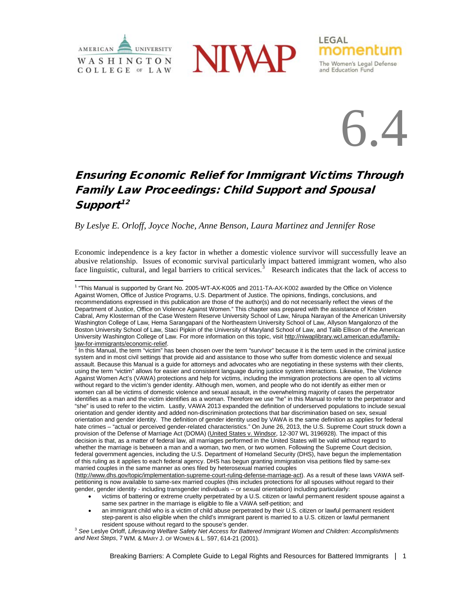





momentum

The Women's Legal Defense

and Education Fund

LEGAL

# Ensuring Economic Relief for Immigrant Victims Through Family Law Proceedings: Child Support and Spousal Support $12$  $12$

*By Leslye E. Orloff, Joyce Noche, Anne Benson, Laura Martinez and Jennifer Rose*

Economic independence is a key factor in whether a domestic violence survivor will successfully leave an abusive relationship. Issues of economic survival particularly impact battered immigrant women, who also face linguistic, cultural, and legal barriers to critical services. $3$  Research indicates that the lack of access to

[\(http://www.dhs.gov/topic/implementation-supreme-court-ruling-defense-marriage-act\)](http://www.dhs.gov/topic/implementation-supreme-court-ruling-defense-marriage-act). As a result of these laws VAWA selfpetitioning is now available to same-sex married couples (this includes protections for all spouses without regard to their gender, gender identity - including transgender individuals – or sexual orientation) including particularly:

• an immigrant child who is a victim of child abuse perpetrated by their U.S. citizen or lawful permanent resident step-parent is also eligible when the child's immigrant parent is married to a U.S. citizen or lawful permanent resident spouse without regard to the spouse's gender.

<span id="page-0-2"></span><sup>3</sup> See Leslye Orloff, *Lifesaving Welfare Safety Net Access for Battered Immigrant Women and Children: Accomplishments and Next Steps*, 7 WM. & MARY J. OF WOMEN & L. 597, 614-21 (2001).

<span id="page-0-0"></span><sup>1</sup> "This Manual is supported by Grant No. 2005-WT-AX-K005 and 2011-TA-AX-K002 awarded by the Office on Violence Against Women, Office of Justice Programs, U.S. Department of Justice. The opinions, findings, conclusions, and recommendations expressed in this publication are those of the author(s) and do not necessarily reflect the views of the Department of Justice, Office on Violence Against Women." This chapter was prepared with the assistance of Kristen Cabral, Amy Klosterman of the Case Western Reserve University School of Law, Nirupa Narayan of the American University Washington College of Law, Hema Sarangapani of the Northeastern University School of Law, Allyson Mangalonzo of the Boston University School of Law, Staci Pipkin of the University of Maryland School of Law, and Talib Ellison of the American University Washington College of Law. For more information on this topic, visi[t http://niwaplibrary.wcl.american.edu/family](http://niwaplibrary.wcl.american.edu/family-law-for-immigrants/economic-relief)law-for-immigrants/economic-relief.<br><sup>2</sup> In this Manual, the term "victim" has been chosen over the term "survivor" because it is the term used in the criminal justice

<span id="page-0-1"></span>system and in most civil settings that provide aid and assistance to those who suffer from domestic violence and sexual assault. Because this Manual is a guide for attorneys and advocates who are negotiating in these systems with their clients, using the term "victim" allows for easier and consistent language during justice system interactions. Likewise, The Violence Against Women Act's (VAWA) protections and help for victims, including the immigration protections are open to all victims without regard to the victim's gender identity. Although men, women, and people who do not identify as either men or women can all be victims of domestic violence and sexual assault, in the overwhelming majority of cases the perpetrator identifies as a man and the victim identifies as a woman. Therefore we use "he" in this Manual to refer to the perpetrator and "she" is used to refer to the victim. Lastly, VAWA 2013 expanded the definition of underserved populations to include sexual orientation and gender identity and added non-discrimination protections that bar discrimination based on sex, sexual orientation and gender identity. The definition of gender identity used by VAWA is the same definition as applies for federal hate crimes – "actual or perceived gender-related characteristics." On June 26, 2013, the U.S. Supreme Court struck down a provision of the Defense of Marriage Act (DOMA) (United States v. Windsor, 12-307 WL 3196928). The impact of this decision is that, as a matter of federal law, all marriages performed in the United States will be valid without regard to whether the marriage is between a man and a woman, two men, or two women. Following the Supreme Court decision, federal government agencies, including the U.S. Department of Homeland Security (DHS), have begun the implementation of this ruling as it applies to each federal agency. DHS has begun granting immigration visa petitions filed by same-sex married couples in the same manner as ones filed by heterosexual married couples

<sup>•</sup> victims of battering or extreme cruelty perpetrated by a U.S. citizen or lawful permanent resident spouse against a same sex partner in the marriage is eligible to file a VAWA self-petition; and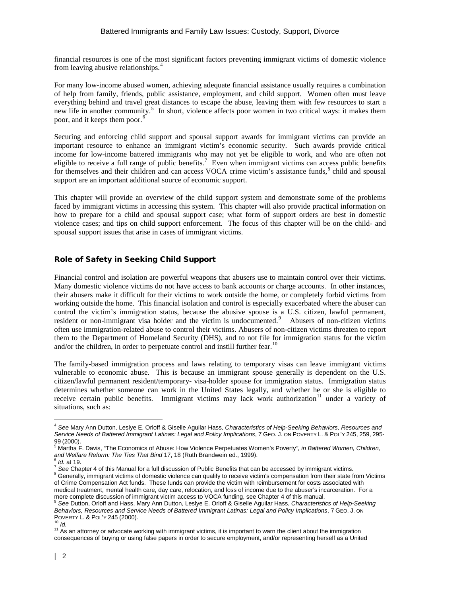financial resources is one of the most significant factors preventing immigrant victims of domestic violence from leaving abusive relationships.[4](#page-1-0)

For many low-income abused women, achieving adequate financial assistance usually requires a combination of help from family, friends, public assistance, employment, and child support. Women often must leave everything behind and travel great distances to escape the abuse, leaving them with few resources to start a new life in another community.<sup>[5](#page-1-1)</sup> In short, violence affects poor women in two critical ways: it makes them poor, and it keeps them poor.<sup>[6](#page-1-2)</sup>

Securing and enforcing child support and spousal support awards for immigrant victims can provide an important resource to enhance an immigrant victim's economic security. Such awards provide critical income for low-income battered immigrants who may not yet be eligible to work, and who are often not eligible to receive a full range of public benefits.<sup>[7](#page-1-3)</sup> Even when immigrant victims can access public benefits for themselves and their children and can access VOCA crime victim's assistance funds,<sup>[8](#page-1-4)</sup> child and spousal support are an important additional source of economic support.

This chapter will provide an overview of the child support system and demonstrate some of the problems faced by immigrant victims in accessing this system. This chapter will also provide practical information on how to prepare for a child and spousal support case; what form of support orders are best in domestic violence cases; and tips on child support enforcement. The focus of this chapter will be on the child- and spousal support issues that arise in cases of immigrant victims.

# Role of Safety in Seeking Child Support

Financial control and isolation are powerful weapons that abusers use to maintain control over their victims. Many domestic violence victims do not have access to bank accounts or charge accounts. In other instances, their abusers make it difficult for their victims to work outside the home, or completely forbid victims from working outside the home. This financial isolation and control is especially exacerbated where the abuser can control the victim's immigration status, because the abusive spouse is a U.S. citizen, lawful permanent, resident or non-immigrant visa holder and the victim is undocumented.<sup>[9](#page-1-5)</sup> Abusers of non-citizen victims often use immigration-related abuse to control their victims. Abusers of non-citizen victims threaten to report them to the Department of Homeland Security (DHS), and to not file for immigration status for the victim and/or the children, in order to perpetuate control and instill further fear.  $^{10}$  $^{10}$  $^{10}$ 

The family-based immigration process and laws relating to temporary visas can leave immigrant victims vulnerable to economic abuse. This is because an immigrant spouse generally is dependent on the U.S. citizen/lawful permanent resident/temporary- visa-holder spouse for immigration status. Immigration status determines whether someone can work in the United States legally, and whether he or she is eligible to receive certain public benefits. Immigrant victims may lack work authorization<sup>[11](#page-1-7)</sup> under a variety of situations, such as:

<span id="page-1-0"></span><sup>4</sup> *See* Mary Ann Dutton, Leslye E. Orloff & Giselle Aguilar Hass, *Characteristics of Help-Seeking Behaviors, Resources and Service Needs of Battered Immigrant Latinas: Legal and Policy Implications*, 7 GEO. J. ON POVERTY L. & POL'Y 245, 259, 295-

<span id="page-1-1"></span><sup>&</sup>lt;sup>5</sup> Martha F. Davis, "The Economics of Abuse: How Violence Perpetuates Women's Poverty", in Battered Women, Children, <br>and Welfare Reform: The Ties That Bind 17, 18 (Ruth Brandwein ed., 1999).

<span id="page-1-4"></span><span id="page-1-3"></span><span id="page-1-2"></span> $^6$  *Id.* at 19.<br><sup>7</sup> See Chapter 4 of this Manual for a full discussion of Public Benefits that can be accessed by immigrant victims.<br><sup>8</sup> Generally, immigrant victims of domestic violence can qualify to receive victim's of Crime Compensation Act funds. These funds can provide the victim with reimbursement for costs associated with medical treatment, mental health care, day care, relocation, and loss of income due to the abuser's incarceration. For a

<span id="page-1-5"></span>more complete discussion of immigrant victim access to VOCA funding, see Chapter 4 of this manual.<br><sup>9</sup> See Dutton, Orloff and Hass, Mary Ann Dutton, Leslye E. Orloff & Giselle Aguilar Hass, *Characteristics of Help-Seeking Behaviors, Resources and Service Needs of Battered Immigrant Latinas: Legal and Policy Implications, 7 GEO. J. ON*<br>POVERTY L. & POL'Y 245 (2000).

<span id="page-1-7"></span><span id="page-1-6"></span>Poverty L. & Political Collection<br><sup>10</sup> *Id.*<br><sup>11</sup> As an attorney or advocate working with immigrant victims, it is important to warn the client about the immigration consequences of buying or using false papers in order to secure employment, and/or representing herself as a United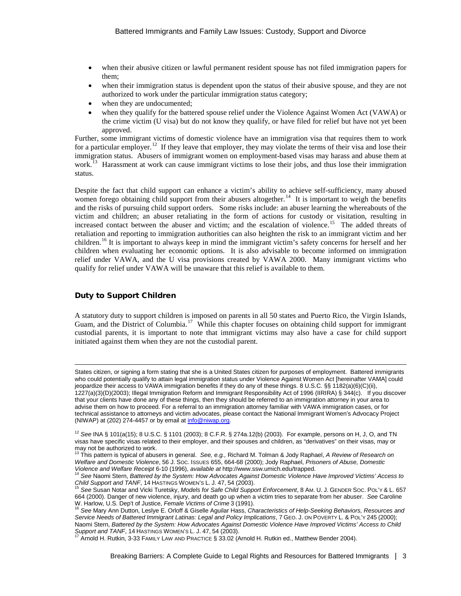- when their abusive citizen or lawful permanent resident spouse has not filed immigration papers for them;
- when their immigration status is dependent upon the status of their abusive spouse, and they are not authorized to work under the particular immigration status category;
- when they are undocumented;
- when they qualify for the battered spouse relief under the Violence Against Women Act (VAWA) or the crime victim (U visa) but do not know they qualify, or have filed for relief but have not yet been approved.

Further, some immigrant victims of domestic violence have an immigration visa that requires them to work for a particular employer.<sup>12</sup> If they leave that employer, they may violate the terms of their visa and lose their immigration status. Abusers of immigrant women on employment-based visas may harass and abuse them at work.<sup>[13](#page-2-1)</sup> Harassment at work can cause immigrant victims to lose their jobs, and thus lose their immigration status.

Despite the fact that child support can enhance a victim's ability to achieve self-sufficiency, many abused women forego obtaining child support from their abusers altogether.<sup>[14](#page-2-2)</sup> It is important to weigh the benefits and the risks of pursuing child support orders. Some risks include: an abuser learning the whereabouts of the victim and children; an abuser retaliating in the form of actions for custody or visitation, resulting in increased contact between the abuser and victim; and the escalation of violence.<sup>15</sup> The added threats of retaliation and reporting to immigration authorities can also heighten the risk to an immigrant victim and her children.[16](#page-2-4) It is important to always keep in mind the immigrant victim's safety concerns for herself and her children when evaluating her economic options. It is also advisable to become informed on immigration relief under VAWA, and the U visa provisions created by VAWA 2000. Many immigrant victims who qualify for relief under VAWA will be unaware that this relief is available to them.

# Duty to Support Children

A statutory duty to support children is imposed on parents in all 50 states and Puerto Rico, the Virgin Islands, Guam, and the District of Columbia.<sup>17</sup> While this chapter focuses on obtaining child support for immigrant custodial parents, it is important to note that immigrant victims may also have a case for child support initiated against them when they are not the custodial parent.

 $\overline{a}$ States citizen, or signing a form stating that she is a United States citizen for purposes of employment. Battered immigrants who could potentially qualify to attain legal immigration status under Violence Against Women Act [hereinafter VAMA] could jeopardize their access to VAWA immigration benefits if they do any of these things. 8 U.S.C. §§ 1182(a)(6)(C)(ii), 1227(a)(3)(D)(2003); Illegal Immigration Reform and Immigrant Responsibility Act of 1996 (IIRIRA) § 344(c). If you discover that your clients have done any of these things, then they should be referred to an immigration attorney in your area to advise them on how to proceed. For a referral to an immigration attorney familiar with VAWA immigration cases, or for technical assistance to attorneys and victim advocates, please contact the National Immigrant Women's Advocacy Project (NIWAP) at (202) 274-4457 or by email a[t info@niwap.org.](mailto:info@niwap.org)

<span id="page-2-0"></span><sup>12</sup> *See* INA § 101(a(15); 8 U.S.C. § 1101 (2003); 8 C.F.R. § 274a.12(b) (2003). For example, persons on H, J, O, and TN visas have specific visas related to their employer, and their spouses and children, as "derivatives" on their visas, may or may not be authorized to work.

<span id="page-2-1"></span><sup>13</sup> This pattern is typical of abusers in general. *See, e.g.,* Richard M. Tolman & Jody Raphael, *A Review of Research on Welfare and Domestic Violence*, 56 J. SOC. ISSUES 655, 664-68 (2000); Jody Raphael, *Prisoners of Abuse, Domestic* 

<span id="page-2-2"></span><sup>&</sup>lt;sup>14</sup> See Naomi Stern, Battered by the System: How Advocates Against Domestic Violence Have Improved Victims' Access to<br>Child Support and TANF, 14 HASTINGS WOMEN'S L. J. 47, 54 (2003).

<span id="page-2-3"></span>See Susan Notar and Vicki Turetsky, *Models for Safe Child Support Enforcement*, 8 Am. U. J. GENDER Soc. PoL'Y & L. 657 664 (2000). Danger of new violence, injury, and death go up when a victim tries to separate from her abuser. *See* Caroline

<span id="page-2-4"></span>w. Harlow, U.S. Deptember, Crime P. Deptember, *Female Victims of Seepale Victims of Crimens*, and the Mary Ann Dutton, Leslye E. Orloff & Giselle Aguilar Hass, *Characteristics of Help-Seeking Behaviors, Resources and Service Needs of Battered Immigrant Latinas: Legal and Policy Implications*, 7 GEO. J. ON POVERTY L. & POL'Y 245 (2000); Naomi Stern, *Battered by the System: How Advocates Against Domestic Violence Have Improved Victims' Access to Child*  Support and TANF, 14 HASTINGS WOMEN'S L. J. 47, 54 (2003).<br><sup>17</sup> Arnold H. Rutkin, 3-33 FAMILY LAW AND PRACTICE § 33.02 (Arnold H. Rutkin ed., Matthew Bender 2004).

<span id="page-2-5"></span>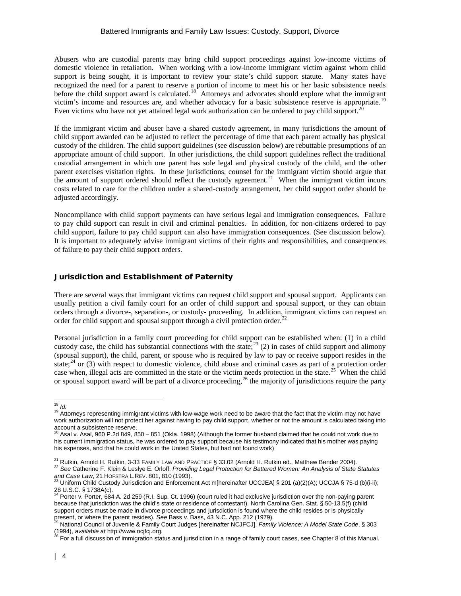Abusers who are custodial parents may bring child support proceedings against low-income victims of domestic violence in retaliation. When working with a low-income immigrant victim against whom child support is being sought, it is important to review your state's child support statute. Many states have recognized the need for a parent to reserve a portion of income to meet his or her basic subsistence needs before the child support award is calculated.<sup>[18](#page-3-0)</sup> Attorneys and advocates should explore what the immigrant victim's income and resources are, and whether advocacy for a basic subsistence reserve is appropriate.[19](#page-3-1)  Even victims who have not yet attained legal work authorization can be ordered to pay child support.<sup>[20](#page-3-2)</sup>

If the immigrant victim and abuser have a shared custody agreement, in many jurisdictions the amount of child support awarded can be adjusted to reflect the percentage of time that each parent actually has physical custody of the children. The child support guidelines (see discussion below) are rebuttable presumptions of an appropriate amount of child support. In other jurisdictions, the child support guidelines reflect the traditional custodial arrangement in which one parent has sole legal and physical custody of the child, and the other parent exercises visitation rights. In these jurisdictions, counsel for the immigrant victim should argue that the amount of support ordered should reflect the custody agreement.<sup>21</sup> When the immigrant victim incurs costs related to care for the children under a shared-custody arrangement, her child support order should be adjusted accordingly.

Noncompliance with child support payments can have serious legal and immigration consequences. Failure to pay child support can result in civil and criminal penalties. In addition, for non-citizens ordered to pay child support, failure to pay child support can also have immigration consequences. (See discussion below). It is important to adequately advise immigrant victims of their rights and responsibilities, and consequences of failure to pay their child support orders.

## Jurisdiction and Establishment of Paternity

There are several ways that immigrant victims can request child support and spousal support. Applicants can usually petition a civil family court for an order of child support and spousal support, or they can obtain orders through a divorce-, separation-, or custody- proceeding. In addition, immigrant victims can request an order for child support and spousal support through a civil protection order.<sup>[22](#page-3-4)</sup>

Personal jurisdiction in a family court proceeding for child support can be established when: (1) in a child custody case, the child has substantial connections with the state; $^{23}$  $^{23}$  $^{23}$  (2) in cases of child support and alimony (spousal support), the child, parent, or spouse who is required by law to pay or receive support resides in the state;<sup>[24](#page-3-6)</sup> or  $(3)$  with respect to domestic violence, child abuse and criminal cases as part of a protection order case when, illegal acts are committed in the state or the victim needs protection in the state.<sup>[25](#page-3-7)</sup> When the child or spousal support award will be part of a divorce proceeding,<sup>[26](#page-3-8)</sup> the majority of jurisdictions require the party

<span id="page-3-1"></span><span id="page-3-0"></span><sup>&</sup>lt;sup>18</sup> *Id.*<br><sup>19</sup> Attorneys representing immigrant victims with low-wage work need to be aware that the fact that the victim may not have work authorization will not protect her against having to pay child support, whether or not the amount is calculated taking into

<span id="page-3-2"></span>account a subsistence reserve.<br><sup>20</sup> Asal v. Asal, 960 P.2d 849, 850 – 851 (Okla. 1998) (Although the former husband claimed that he could not work due to his current immigration status, he was ordered to pay support because his testimony indicated that his mother was paying his expenses, and that he could work in the United States, but had not found work)

<span id="page-3-4"></span><span id="page-3-3"></span><sup>&</sup>lt;sup>21</sup> Rutkin, Arnold H. Rutkin, 3-33 FAMILY LAW AND PRACTICE § 33.02 (Arnold H. Rutkin ed., Matthew Bender 2004).<br><sup>22</sup> See Catherine F. Klein & Leslye E. Orloff, *Providing Legal Protection for Battered Women: An Analysis* and Case Law, 21 HOFSTRA L.REV. 801, 810 (1993).<br><sup>23</sup> Uniform Child Custody Jurisdiction and Enforcement Act m[hereinafter UCCJEA] § 201 (a)(2)(A); UCCJA § 75-d (b)(i-ii);

<span id="page-3-6"></span><span id="page-3-5"></span><sup>28</sup> U.S.C. § 1738A(c).<br><sup>24</sup> Porter v. Porter, 684 A. 2d 259 (R.I. Sup. Ct. 1996) (court ruled it had exclusive jurisdiction over the non-paying parent because that jurisdiction was the child's state or residence of contestant). North Carolina Gen. Stat. § 50-13.5(f) (child support orders must be made in divorce proceedings and jurisdiction is found where the child resides or is physically present, or where the parent resides). See Bass v. Bass, 43 N.C. App. 212 (1979).<br><sup>25</sup> National Council of Juvenile & Family Court Judges [hereinafter NCJFCJ], *Family Violence: A Model State Code*, § 303

<span id="page-3-7"></span><sup>(1994),</sup> *available at* [http://www.ncjfcj.org.](http://www.ncjfcj.org/) <sup>26</sup> For a full discussion of immigration status and jurisdiction in a range of family court cases, see Chapter 8 of this Manual.

<span id="page-3-8"></span>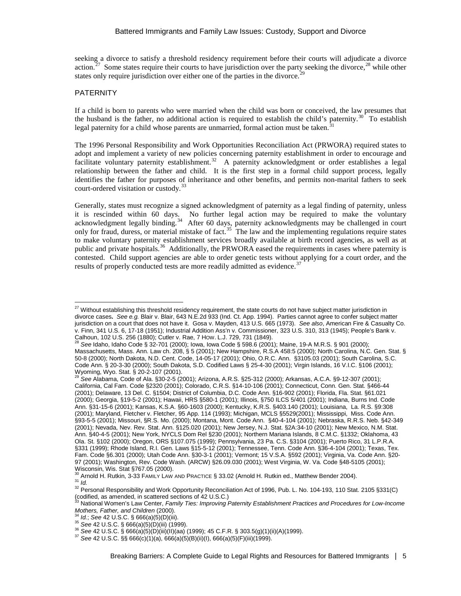seeking a divorce to satisfy a threshold residency requirement before their courts will adjudicate a divorce action.<sup>[27](#page-4-0)</sup> Some states require their courts to have jurisdiction over the party seeking the divorce, <sup>[28](#page-4-1)</sup> while other states only require jurisdiction over either one of the parties in the divorce.<sup>29</sup>

#### PATERNITY

If a child is born to parents who were married when the child was born or conceived, the law presumes that the husband is the father, no additional action is required to establish the child's paternity. $30^{\circ}$  To establish legal paternity for a child whose parents are unmarried, formal action must be taken.<sup>3</sup>

The 1996 Personal Responsibility and Work Opportunities Reconciliation Act (PRWORA) required states to adopt and implement a variety of new policies concerning paternity establishment in order to encourage and facilitate voluntary paternity establishment.<sup>32</sup> A paternity acknowledgment or order establishes a legal relationship between the father and child. It is the first step in a formal child support process, legally identifies the father for purposes of inheritance and other benefits, and permits non-marital fathers to seek court-ordered visitation or custody.<sup>[33](#page-4-6)</sup>

Generally, states must recognize a signed acknowledgment of paternity as a legal finding of paternity, unless it is rescinded within 60 days. No further legal action may be required to make the voluntary acknowledgment legally binding.<sup>[34](#page-4-7)</sup> After 60 days, paternity acknowledgments may be challenged in court only for fraud, duress, or material mistake of fact.<sup>35</sup> The law and the implementing regulations require states to make voluntary paternity establishment services broadly available at birth record agencies, as well as at public and private hospitals.<sup>[36](#page-4-9)</sup> Additionally, the PRWORA eased the requirements in cases where paternity is contested. Child support agencies are able to order genetic tests without applying for a court order, and the results of properly conducted tests are more readily admitted as evidence.<sup>[37](#page-4-10)</sup>

<span id="page-4-0"></span><sup>&</sup>lt;sup>27</sup> Without establishing this threshold residency requirement, the state courts do not have subject matter jurisdiction in divorce cases**.** *See e.g.* [Blair v. Blair, 643 N.E.2d 933 \(Ind. Ct. App. 1994\).](http://web2.westlaw.com/Find/Default.wl?DB=578&SerialNum=1994241096&FindType=Y&AP=&RS=WLW2.87&VR=2.0&SV=Split&MT=LawSchool&FN=_top) Parties cannot agree to confer subject matter jurisdiction on a court that does not have it. Gosa v. Mayden, 413 U.S. 665 (1973). *See also*, American Fire & Casualty Co. v. Finn, 341 U.S. 6, 17-18 (1951); Industrial Addition Ass'n v. Commissioner, 323 U.S. 310, 313 (1945); People's Bank v.

<span id="page-4-1"></span><sup>&</sup>lt;sup>28</sup> See Idaho, Idaho Code § 32-701 (2000); Iowa, Iowa Code § 598.6 (2001); Maine, 19-A M.R.S. § 901 (2000); Massachusetts, Mass. Ann. Law ch. 208, § 5 (2001); New Hampshire, R.S.A 458:5 (2000); North Carolina, N.C. Gen. Stat. § 50-8 (2000); North Dakota, N.D. Cent. Code, 14-05-17 (2001); Ohio, O.R.C. Ann. §3105.03 (2001); South Carolina, S.C. Code Ann. § 20-3-30 (2000); South Dakota, S.D. Codified Laws § 25-4-30 (2001); Virgin Islands, 16 V.I.C. §106 (2001);<br>Wyoming, Wyo. Stat. § 20-2-107 (2001).

<span id="page-4-2"></span>Wyoming, Wyo. Stat. § 20-2-107 (2001). <sup>29</sup> *See* Alabama, Code of Ala. §30-2-5 (2001); Arizona, A.R.S. §25-312 (2000); Arkansas, A.C.A. §9-12-307 (2001); California, Cal Fam. Code §2320 (2001); Colorado, C.R.S. §14-10-106 (2001); Connecticut, Conn. Gen. Stat. §466-44 (2001); Delaware, 13 Del. C. §1504; District of Columbia, D.C. Code Ann. §16-902 (2001); Florida, Fla. Stat. §61.021 (2000); Georgia, §19-5-2 (2001); Hawaii, HRS §580-1 (2001); Illinois, §750 ILCS 5/401 (2001); Indiana, Burns Ind. Code Ann. §31-15-6 (2001); Kansas, K.S.A. §60-1603 (2000); Kentucky, K.R.S. §403.140 (2001); Louisiana, La. R.S. §9:308 (2001); Maryland, Fletcher v. Fletcher, 95 App. 114 (1993); Michigan, MCLS §5529(2001); Mississippi, Miss. Code Ann. §93-5-5 (2001); Missouri, §R.S. Mo. (2000); Montana, Mont. Code Ann. §40-4-104 (2001); Nebraska, R.R.S. Neb. §42-349 (2001); Nevada, Nev. Rev. Stat. Ann. §125.020 (2001); New Jersey, N.J. Stat. §2A:34-10 (2001); New Mexico, N.M. Stat. Ann. §40-4-5 (2001); New York, NYCLS Dom Rel §230 (2001); Northern Mariana Islands, 8 C.M.C. §1332; Oklahoma, 43 Ola. St. §102 (2000); Oregon, ORS §107.075 (1999); Pennsylvania, 23 Pa. C.S. §3104 (2001); Puerto Rico, 31 L.P.R.A. §331 (1999); Rhode Island, R.I. Gen. Laws §15-5-12 (2001); Tennessee, Tenn. Code Ann. §36-4-104 (2001); Texas, Tex. Fam. Code §6.301 (2000); Utah Code Ann. §30-3-1 (2001); Vermont; 15 V.S.A. §592 (2001); Virginia, Va. Code Ann. §20- 97 (2001); Washington, Rev. Code Wash. (ARCW) §26.09.030 (2001); West Virginia, W. Va. Code §48-5105 (2001);

<span id="page-4-3"></span>Wisconsin, Wis. Stat §767.05 (2000).<br><sup>30</sup> Arnold H. Rutkin, 3-33 FAMILY LAW AND PRACTICE § 33.02 (Arnold H. Rutkin ed., Matthew Bender 2004).  $\frac{31}{10}$  Hindia in Naukin, 5 So Friend Environment Covenance 3 Section and the condition of 1996, Pub. L. No. 104-193, 110 Stat. 2105 §331(C)

<span id="page-4-4"></span>

<span id="page-4-6"></span><span id="page-4-5"></span><sup>(</sup>codified, as amended, in scattered sections of 42 U.S.C.)<br><sup>33</sup> National Women's Law Center, *Family Ties: Improving Paternity Establishment Practices and Procedures for Low-Income* Mothers, Father, and Children (2000).<br>
<sup>34</sup> Id.; See 42 U.S.C. § 666(a)(5)(D)(iii).<br>
<sup>35</sup> See 42 U.S.C. § 666(a)(5)(D)(iii) (1999).<br>
<sup>36</sup> See 42 U.S.C. § 666(a)(5)(D)(iii)(II)(aa) (1999); 45 C.F.R. § 303.5(g)(1)(ii)(A)(199

<span id="page-4-7"></span>

<span id="page-4-8"></span>

<span id="page-4-10"></span><span id="page-4-9"></span>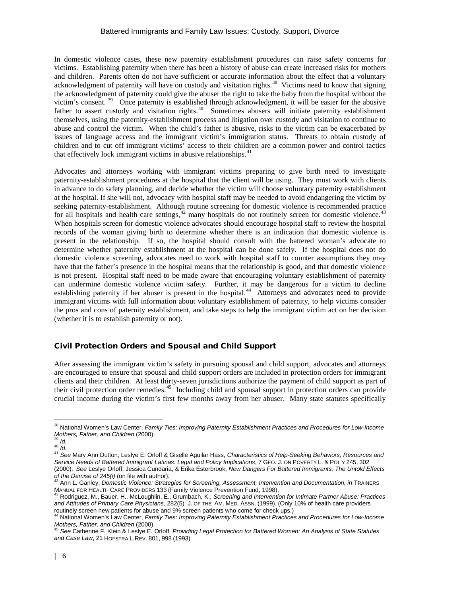#### Battered Immigrants and Family Law Issues: Custody, Support, Divorce

In domestic violence cases, these new paternity establishment procedures can raise safety concerns for victims. Establishing paternity when there has been a history of abuse can create increased risks for mothers and children. Parents often do not have sufficient or accurate information about the effect that a voluntary acknowledgment of paternity will have on custody and visitation rights.<sup>[38](#page-5-0)</sup> Victims need to know that signing the acknowledgment of paternity could give the abuser the right to take the baby from the hospital without the victim's consent. [39](#page-5-1) Once paternity is established through acknowledgment, it will be easier for the abusive father to assert custody and visitation rights.<sup>[40](#page-5-2)</sup> Sometimes abusers will initiate paternity establishment themselves, using the paternity-establishment process and litigation over custody and visitation to continue to abuse and control the victim. When the child's father is abusive, risks to the victim can be exacerbated by issues of language access and the immigrant victim's immigration status. Threats to obtain custody of children and to cut off immigrant victims' access to their children are a common power and control tactics that effectively lock immigrant victims in abusive relationships. $41$ 

Advocates and attorneys working with immigrant victims preparing to give birth need to investigate paternity-establishment procedures at the hospital that the client will be using. They must work with clients in advance to do safety planning, and decide whether the victim will choose voluntary paternity establishment at the hospital. If she will not, advocacy with hospital staff may be needed to avoid endangering the victim by seeking paternity-establishment. Although routine screening for domestic violence is recommended practice for all hospitals and health care settings,<sup>[42](#page-5-4)</sup> many hospitals do not routinely screen for domestic violence.<sup>[43](#page-5-5)</sup> When hospitals screen for domestic violence advocates should encourage hospital staff to review the hospital records of the woman giving birth to determine whether there is an indication that domestic violence is present in the relationship. If so, the hospital should consult with the battered woman's advocate to determine whether paternity establishment at the hospital can be done safely. If the hospital does not do domestic violence screening, advocates need to work with hospital staff to counter assumptions they may have that the father's presence in the hospital means that the relationship is good, and that domestic violence is not present. Hospital staff need to be made aware that encouraging voluntary establishment of paternity can undermine domestic violence victim safety. Further, it may be dangerous for a victim to decline establishing paternity if her abuser is present in the hospital.<sup>44</sup> Attorneys and advocates need to provide immigrant victims with full information about voluntary establishment of paternity, to help victims consider the pros and cons of paternity establishment, and take steps to help the immigrant victim act on her decision (whether it is to establish paternity or not).

## Civil Protection Orders and Spousal and Child Support

After assessing the immigrant victim's safety in pursuing spousal and child support, advocates and attorneys are encouraged to ensure that spousal and child support orders are included in protection orders for immigrant clients and their children. At least thirty-seven jurisdictions authorize the payment of child support as part of their civil protection order remedies.[45](#page-5-7) Including child and spousal support in protection orders can provide crucial income during the victim's first few months away from her abuser. Many state statutes specifically

<span id="page-5-0"></span><sup>&</sup>lt;sup>38</sup> National Women's Law Center, *Family Ties: Improving Paternity Establishment Practices and Procedures for Low-Income*<br>Mothers, *Father, and Children* (2000).

<span id="page-5-3"></span><span id="page-5-2"></span><span id="page-5-1"></span>*Mothers, Father, and Children* (2000). 39 *Id.* <sup>40</sup> *Id.* <sup>41</sup> *See* Mary Ann Dutton, Leslye E. Orloff & Giselle Aguilar Hass, *Characteristics of Help-Seeking Behaviors, Resources and Service Needs of Battered Immigrant Latinas: Legal and Policy Implications*, 7 GEO. J. ON POVERTY L. & POL'Y 245, 302 (2000). *See* Leslye Orloff, Jessica Cundaria, & Erika Esterbrook, *New Dangers For Battered Immigrants: The Untold Effects* 

<span id="page-5-4"></span>of the Demise of 245(i) (on file with author).<br><sup>42</sup> Ann L. Ganley, *Domestic Violence: Strategies for Screening, Assessment, Intervention and Documentation, in TRAINERS* MANUAL FOR HEALTH CARE PROVIDERS 133 (Family Violence Prevention Fund, 1998).<br><sup>43</sup> Rodriguez, M., Bauer, H., McLoughlin, E., Grumbach, K., *Screening and Intervention for Intimate Partner Abuse: Practices* 

<span id="page-5-5"></span>*and Attitudes of Primary Care Physicians,* 282(5) J. OF THE AM. MED. ASSN. (1999). (Only 10% of health care providers routinely screen new patients for abuse and 9% screen patients who come for check ups.)

<span id="page-5-6"></span><sup>44</sup> National Women's Law Center, *Family Ties: Improving Paternity Establishment Practices and Procedures for Low-Income Mothers, Father, and Children* (2000). 45 *See* Catherine F. Klein & Leslye E. Orloff, *Providing Legal Protection for Battered Women: An Analysis of State Statutes* 

<span id="page-5-7"></span>*and Case Law*, 21 HOFSTRA L.REV. 801, 998 (1993)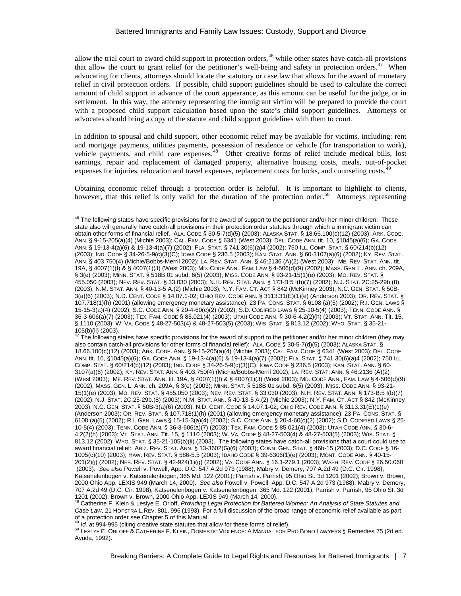allow the trial court to award child support in protection orders,  $46$  while other states have catch-all provisions that allow the court to grant relief for the petitioner's well-being and safety in protection orders.<sup>47</sup> When advocating for clients, attorneys should locate the statutory or case law that allows for the award of monetary relief in civil protection orders. If possible, child support guidelines should be used to calculate the correct amount of child support in advance of the court appearance, as this amount can be useful for the judge, or in settlement. In this way, the attorney representing the immigrant victim will be prepared to provide the court with a proposed child support calculation based upon the state's child support guidelines. Attorneys or advocates should bring a copy of the statute and child support guidelines with them to court.

In addition to spousal and child support, other economic relief may be available for victims, including: rent and mortgage payments, utilities payments, possession of residence or vehicle (for transportation to work), vehicle payments, and child care expenses.<sup>48</sup> Other creative forms of relief include medical bills, lost earnings, repair and replacement of damaged property, alternative housing costs, meals, out-of-pocket expenses for injuries, relocation and travel expenses, replacement costs for locks, and counseling costs.<sup>4</sup>

Obtaining economic relief through a protection order is helpful. It is important to highlight to clients, however, that this relief is only valid for the duration of the protection order.<sup>50</sup> Attorneys representing

<span id="page-6-1"></span>The following states have specific provisions for the award of support to the petitioner and/or her minor children (they may also contain catch-all provisions for other forms of financial relief): ALA. CODE § 30-5-7(d)(5) (2003); ALASKA STAT. § 18.66.100(c)(12) (2003); ARK. CODE. ANN. § 9-15-205(a)(4) (Michie 2003); CAL. FAM. CODE § 6341 (West 2003); DEL. CODE ANN. tit. 10, §1045(a)(6); GA. CODE ANN. § 19-13-4(a)(6) & 19-13-4(a)(7) (2002); FLA. STAT. § 741.30(6)(a)4 (2002); 750 ILL. COMP. STAT. § 60/214(b)(12) (2003); IND. CODE § 34-26-5-9(c)(3)(C); IOWA CODE § 236.5 (2003); KAN. STAT. ANN. § 60- 3107(a)(6) (2002); KY. REV. STAT. ANN. § 403.750(4) (Michie/Bobbs-Merril 2002); LA. REV. STAT. ANN. § 46:2136 (A)(2) (West 2003); ME. REV. STAT. ANN. tit. 19A, § 4007(1)(I) & § 4007(1)(J) (West 2003); MD. CODE ANN., FAM. LAW § 4-506(d)(9) (2002); MASS. GEN. L. ANN. ch. 209A, § 3(e) (2003); MINN. STAT. § 518B.01 subd. 6(5) (2003); MISS. CODE ANN. § 93-21- 15(1)(e) (2003); MO. REV. STAT. § 455.050 (2003); NEV. REV. STAT. § 33.030 (2003); N.H. REV. STAT. ANN. § 173-B:5 I(b)(7) (2002); N.J. STAT. 2C:25-29b.(8) (2003); N.M. STAT. ANN. § 40-13-5 A.(2) (Michie 2003); N.Y. FAM. CT. ACT § 842 (McKinney 2003); N.C. GEN. STAT. § 50B-3(a)(6) (2003); N.D. CENT. CODE § 14.07.1-02; OHIO REV. CODE ANN. § 3113.31(E)(1)(e) (Anderson 2003); OR. REV. STAT. § 107.718(1)(h) (2001) (allowing emergency monetary assistance); 23 PA. CONS. STAT. § 6108 (a)(5) (2002); R.I. GEN. LAWS § 15-15-3(a)(4) (2002); S.C. CODE ANN. § 20-4-60(c)(2) (2002); S.D. CODIFIED LAWS § 25- 10-5(4) (2003); TENN. CODE ANN. § 36-3-606(a)(7) (2003); TEX. FAM. CODE § 85.021(4) (2003); UTAH CODE ANN. § 30-6- 4.2(2)(h) (2003); VT. STAT. ANN. Tit. 15, § 1110 (2003); W. VA. CODE § 48-27-503(4) & 48-27-503(5) (2003); WIS. STAT. § 813.12 (2002); WYO. STAT. § 35-21-105(b)(ii) (2003). The following states have catch-all provisions that a court could use to award financial relief: ARIZ. REV. STAT. ANN. § 13-3602(G)(6) (2003); CONN. GEN. STAT. § 46b-15 (2003); D.C. CODE § 16- 1005(c)(10) (2003); HAW. REV. STAT. § 586-5.5 (2003); IDAHO CODE § 39-6306(1)(e) (2003); MONT. CODE ANN. § 40-15- 201(2)(j) (2002); NEB. REV. STAT. § 42-924(1)(g) (2002); VA. CODE ANN. § 16.1-279.1 (2003); WASH. REV. CODE § 26.50.060 (2003). *See also* Powell v. Powell, App. D.C. 547 A.2d 973 (1988); Mabry v. Demery, 707 A.2d 49 (D.C. Cir. 1998); Katsenelenbogen v. Katsenelenbogen, 365 Md. 122 (2001); Parrish v. Parrish, 95 Ohio St. 3d 1201 (2002); Brown v. Brown, 2000 Ohio App. LEXIS 949 (March 14, 2000). *See also* Powell v. Powell, App. D.C. 547 A.2d 973 (1988); Mabry v. Demery, 707 A.2d 49 (D.C. Cir. 1998); Katsenelenbogen v. Katsenelenbogen, 365 Md. 122 (2001); Parrish v. Parrish, 95 Ohio St. 3d 1201 (2002); Brown v. Brown, 2000 Ohio App. LEXIS 949 (March 14, 2000).

<span id="page-6-2"></span><sup>48</sup> Catherine F. Klein & Leslye E. Orloff, *Providing Legal Protection for Battered Women: An Analysis of State Statutes and Case Law*, 21 HOFSTRA L.REV. 801, 996 (1993). For a full discussion of the broad range of economic relief available as part

<span id="page-6-4"></span><span id="page-6-3"></span><sup>49</sup> *ld.* at 994-995 (citing creative state statutes that allow for these forms of relief).<br><sup>50</sup> LESLYE E. ORLOFF & CATHERINE F. KLEIN, DOMESTIC VIOLENCE: A MANUAL FOR PRO BONO LAWYERS § Remedies 75 (2d ed. Ayuda, 1992).

<span id="page-6-0"></span><sup>&</sup>lt;sup>46</sup> The following states have specific provisions for the award of support to the petitioner and/or her minor children. These state also will generally have catch-all provisions in their protection order statutes through which a immigrant victim can obtain other forms of financial relief. ALA. CODE § 30-5-7(d)(5) (2003); ALASKA STAT. § 18.66.100(c)(12) (2003); ARK. CODE. ANN. § 9-15-205(a)(4) (Michie 2003); CAL. FAM. CODE § 6341 (West 2003); DEL. CODE ANN. tit. 10, §1045(a)(6); GA. CODE ANN. § 19-13-4(a)(6) & 19-13-4(a)(7) (2002); FLA. STAT. § 741.30(6)(a)4 (2002); 750 ILL. COMP. STAT. § 60/214(b)(12) (2003); IND. CODE § 34-26-5-9(c)(3)(C); IOWA CODE § 236.5 (2003); KAN. STAT. ANN. § 60-3107(a)(6) (2002); KY. REV. STAT. ANN. § 403.750(4) (Michie/Bobbs-Merril 2002); LA. REV. STAT. ANN. § 46:2136 (A)(2) (West 2003); ME. REV. STAT. ANN. tit. 19A, § 4007(1)(I) & § 4007(1)(J) (West 2003); MD. CODE ANN., FAM. LAW § 4-506(d)(9) (2002); MASS. GEN. L. ANN. ch. 209A, § 3(e) (2003); MINN. STAT. § 518B.01 subd. 6(5) (2003); MISS. CODE ANN. § 93-21-15(1)(e) (2003); MO. REV. STAT. § 455.050 (2003); NEV. REV. STAT. § 33.030 (2003); N.H. REV. STAT. ANN. § 173-B:5 I(b)(7) (2002); N.J. STAT. 2C:25-29b.(8) (2003); N.M. STAT. ANN. § 40-13-5 A.(2) (Michie 2003); N.Y. FAM. CT. ACT § 842 (McKinney 2003); N.C. GEN. STAT. § 50B-3(a)(6) (2003); N.D. CENT. CODE § 14.07.1-02; OHIO REV. CODE ANN. § 3113.31(E)(1)(e) (Anderson 2003); OR. REV. STAT. § 107.718(1)(h) (2001) (allowing emergency monetary assistance); 23 PA. CONS. STAT. § 6108 (a)(5) (2002); R.I. GEN. LAWS § 15-15-3(a)(4) (2002); S.C. CODE ANN. § 20-4-60(c)(2) (2002); S.D. CODIFIED LAWS § 25-10-5(4) (2003); TENN. CODE ANN. § 36-3-606(a)(7) (2003); TEX. FAM. CODE § 85.021(4) (2003); UTAH CODE ANN. § 30-6-4.2(2)(h) (2003); VT. STAT. ANN. Tit. 15, § 1110 (2003); W. VA. CODE § 48-27-503(4) & 48-27-503(5) (2003); WIS. STAT. § 813.12 (2002); WYO. STAT. § 35-21-  $105(b)(ii)$  (2003).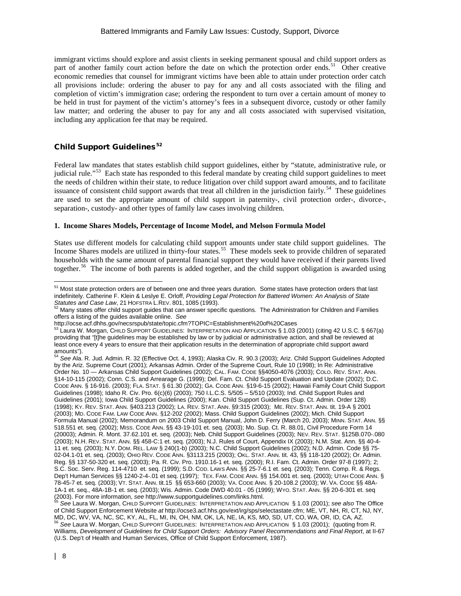immigrant victims should explore and assist clients in seeking permanent spousal and child support orders as part of another family court action before the date on which the protection order ends.<sup>51</sup> Other creative economic remedies that counsel for immigrant victims have been able to attain under protection order catch all provisions include: ordering the abuser to pay for any and all costs associated with the filing and completion of victim's immigration case; ordering the respondent to turn over a certain amount of money to be held in trust for payment of the victim's attorney's fees in a subsequent divorce, custody or other family law matter; and ordering the abuser to pay for any and all costs associated with supervised visitation, including any application fee that may be required.

# Child Support Guidelines<sup>[52](#page-7-1)</sup>

Federal law mandates that states establish child support guidelines, either by "statute, administrative rule, or judicial rule."<sup>[53](#page-7-2)</sup> Each state has responded to this federal mandate by creating child support guidelines to meet the needs of children within their state, to reduce litigation over child support award amounts, and to facilitate issuance of consistent child support awards that treat all children in the jurisdiction fairly.<sup>54</sup> These guidelines are used to set the appropriate amount of child support in paternity-, civil protection order-, divorce-, separation-, custody- and other types of family law cases involving children.

## **1. Income Shares Models, Percentage of Income Model, and Melson Formula Model**

States use different models for calculating child support amounts under state child support guidelines. The Income Shares models are utilized in thirty-four states.<sup>[55](#page-7-4)</sup> These models seek to provide children of separated households with the same amount of parental financial support they would have received if their parents lived together.<sup>[56](#page-7-5)</sup> The income of both parents is added together, and the child support obligation is awarded using

<span id="page-7-0"></span><sup>&</sup>lt;sup>51</sup> Most state protection orders are of between one and three years duration. Some states have protection orders that last indefinitely. Catherine F. Klein & Leslye E. Orloff, *Providing Legal Protection for Battered Women: An Analysis of State Statutes and Case Law*, 21 HOFSTRA L.REV. 801, 1085 (1993).<br>
<sup>52</sup> Many states offer child support guides that can answer specific questions. The Administration for Children and Families

<span id="page-7-1"></span>offers a listing of the guides available online. *See* 

http://ocse.acf.dhhs.gov/necsrspub/state/topic.cfm?TOPIC=Establishment%20of%20Cases

<span id="page-7-2"></span>Laura W. Morgan, CHILD SUPPORT GUIDELINES: INTERPRETATION AND APPLICATION § 1.03 (2001) (citing 42 U.S.C. § 667(a) providing that "[t]he guidelines may be established by law or by judicial or administrative action, and shall be reviewed at least once every 4 years to ensure that their application results in the determination of appropriate child support award<br>amounts").

<span id="page-7-3"></span>See Ala. R. Jud. Admin. R. 32 (Effective Oct. 4, 1993); Alaska Civ. R. 90.3 (2003); Ariz. Child Support Guidelines Adopted by the Ariz. Supreme Court (2001); Arkansas Admin. Order of the Supreme Court, Rule 10 (1998); In Re: Administrative Order No. 10 — Arkansas Child Support Guidelines (2002); CAL. FAM. CODE §§4050-4076 (2003); COLO. REV. STAT. ANN. §14-10-115 (2002); Conn. C.S. and Arrearage G. (1999); Del. Fam. Ct. Child Support Evaluation and Update (2002); D.C. CODE ANN. § 16-916. (2003); FLA. STAT. § 61.30 (2002); GA. CODE ANN. §19-6-15 (2002); Hawaii Family Court Child Support Guidelines (1998); Idaho R. Civ. Pro. 6(c)(6) (2003); 750 I.L.C.S. 5/505 – 5/510 (2003); Ind. Child Support Rules and Guidelines (2001); Iowa Child Support Guidelines (2000); Kan. Child Support Guidelines (Sup. Ct. Admin. Order 128) (1998); KY. REV. STAT. ANN. §403.213 (2002); LA. REV. STAT. ANN. §9:315 (2003); ME. REV. STAT. ANN. tit. 19-A § 2001 (2003); MD. CODE FAM. LAW CODE ANN. §12-202 (2002); Mass. Child Support Guidelines (2002); Mich. Child Support Formula Manual (2002); Memorandum on 2003 Child Support Manual, John D. Ferry (March 20, 2003); MINN. STAT. ANN. §§ 518.551 et. seq. (2002); MISS. CODE ANN. §§ 43-19-101 et. seq. (2003); Mo. Sup. Ct. R. 88.01, Civil Procedure Form 14 (20003); Admin. R. Mont. 37.62.101 et. seq. (2003); Neb. Child Support Guidelines (2003); NEV. REV. STAT. §125B.070-.080 (2003); N.H. REV. STAT. ANN. §§ 458-C:1 et. seq. (2003); N.J. Rules of Court, Appendix IX (2003); N.M. Stat. Ann. §§ 40-4- 11 et. seq. (2003); N.Y. DOM. REL. LAW § 240(1-b) (2003); N.C. Child Support Guidelines (2002); N.D. Admin. Code §§ 75- 02-04.1-01 et. seq. (2003); OHIO REV. CODE ANN. §3113.215 (2003); OKL. STAT. ANN. tit. 43, §§ 118-120 (2002); Or. Admin. Reg. §§ 137-50-320 et. seq. (2003); Pa. R. Civ. Pro. 1910.16-1 et. seq. (2000); R.I. Fam. Ct. Admin. Order 97-8 (1997); 2; S.C. Soc. Serv. Reg. 114-4710 et. seq. (1999); S.D. COD. LAWS ANN. §§ 25-7-6.1 et. seq. (2003); Tenn. Comp. R. & Regs. Dep't Human Services §§ 1240-2-4-.01 et seq. (1997); TEX. FAM. CODE ANN. §§ 154.001 et. seq. (2003); UTAH CODE ANN. § 78-45-7 et. seq. (2003); VT. STAT. ANN. tit.15 §§ 653-660 (2003); VA. CODE ANN. § 20-108.2 (2003); W. VA. CODE §§ 48A-1A-1 et. seq., 48A-1B-1 et. seq. (2003); Wis. Admin. Code DWD 40.01 - 05 (1999); WYO. STAT. ANN. §§ 20-6-301 et. seq (2003). For more information, *see* http://www.supportguidelines.com/links.html. <sup>55</sup> *See* Laura W. Morgan, CHILD SUPPORT GUIDELINES: INTERPRETATION AND APPLICATION § 1.03 (2001); *see also* The Office

<span id="page-7-5"></span><span id="page-7-4"></span>of Child Support Enforcement Website *at* [http://ocse3.acf.hhs.gov/ext/irg/sps/selectastate.cfm;](http://ocse3.acf.hhs.gov/ext/irg/sps/selectastate.cfm) ME, VT, NH, RI, CT, NJ, NY, MD, DC, WV, VA, NC, SC, KY, AL, FL, MI, IN, OH, NM, OK, LA, NE, IA, KS, MO, SD, UT, CO, WA, OR, ID, CA, AZ.<br><sup>56</sup> See Laura W. Morgan, CHILD SUPPORT GUIDELINES: INTERPRETATION AND APPLICATION § 1.03 (2001); (quoting from R. Williams, *Development of Guidelines for Child Support Orders: Advisory Panel Recommendations and Final Report*, at II-67 (U.S. Dep't of Health and Human Services, Office of Child Support Enforcement, 1987).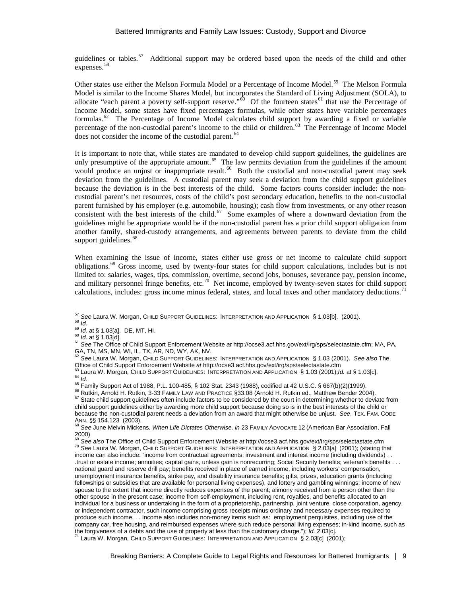guidelines or tables.<sup>[57](#page-8-0)</sup> Additional support may be ordered based upon the needs of the child and other expenses.<sup>58</sup>

Other states use either the Melson Formula Model or a Percentage of Income Model.<sup>[59](#page-8-2)</sup> The Melson Formula Model is similar to the Income Shares Model, but incorporates the Standard of Living Adjustment (SOLA), to allocate "each parent a poverty self-support reserve." $\stackrel{60}{\circ}$  Of the fourteen states<sup>[61](#page-8-4)</sup> that use the Percentage of Income Model, some states have fixed percentages formulas, while other states have variable percentages formulas.[62](#page-8-5) The Percentage of Income Model calculates child support by awarding a fixed or variable percentage of the non-custodial parent's income to the child or children.<sup>63</sup> The Percentage of Income Model does not consider the income of the custodial parent.<sup>[64](#page-8-7)</sup>

It is important to note that, while states are mandated to develop child support guidelines, the guidelines are only presumptive of the appropriate amount.<sup>65</sup> The law permits deviation from the guidelines if the amount would produce an unjust or inappropriate result.<sup>66</sup> Both the custodial and non-custodial parent may seek deviation from the guidelines. A custodial parent may seek a deviation from the child support guidelines because the deviation is in the best interests of the child. Some factors courts consider include: the noncustodial parent's net resources, costs of the child's post secondary education, benefits to the non-custodial parent furnished by his employer (e.g. automobile, housing); cash flow from investments, or any other reason consistent with the best interests of the child.<sup>67</sup> Some examples of where a downward deviation from the guidelines might be appropriate would be if the non-custodial parent has a prior child support obligation from another family, shared-custody arrangements, and agreements between parents to deviate from the child support guidelines.<sup>[68](#page-8-11)</sup>

When examining the issue of income, states either use gross or net income to calculate child support obligations.[69](#page-8-12) Gross income, used by twenty-four states for child support calculations, includes but is not limited to: salaries, wages, tips, commission, overtime, second jobs, bonuses, severance pay, pension income, and military personnel fringe benefits, etc.<sup>[70](#page-8-13)</sup> Net income, employed by twenty-seven states for child support calculations, includes: gross income minus federal, states, and local taxes and other mandatory deductions.<sup>[71](#page-8-14)</sup>

<span id="page-8-3"></span><span id="page-8-2"></span>

<span id="page-8-4"></span>

<span id="page-8-1"></span><span id="page-8-0"></span><sup>&</sup>lt;sup>57</sup> See Laura W. Morgan, CHILD SUPPORT GUIDELINES: INTERPRETATION AND APPLICATION § 1.03[b]. (2001).<br><sup>58</sup> *Id.*<br><sup>59</sup> *Id.* at § 1.03[a]. DE, MT, HI.<br><sup>60</sup> *Id.* at § 1.03[d].<br><sup>61</sup> See The Office of Child Support Enforceme

<span id="page-8-5"></span><sup>&</sup>lt;sup>62</sup> See Laura W. Morgan, CHILD SUPPORT GUIDELINES: INTERPRETATION AND APPLICATION § 1.03 (2001). See also The<br>Office of Child Support Enforcement Website at http://ocse3.acf.hhs.gov/ext/irg/sps/selectastate.cfm

<span id="page-8-7"></span><span id="page-8-6"></span><sup>&</sup>lt;sup>63</sup> Laura W. Morgan, CHILD SUPPORT GUIDELINES: INTERPRETATION AND APPLICATION § 1.03 (2001);*Id.* at § 1.03[c].<br><sup>64</sup> *Id.*<br><sup>65</sup> Family Support Act of 1988, P.L. 100-485, § 102 Stat. 2343 (1988), codified at 42 U.S.C. § 6

<span id="page-8-9"></span><span id="page-8-8"></span>

<span id="page-8-10"></span>child support guidelines either by awarding more child support because doing so is in the best interests of the child or because the non-custodial parent needs a deviation from an award that might otherwise be unjust. *See*, TEX. FAM. CODE ANN. §§ 154.123 (2003). <sup>68</sup> *See* June Melvin Mickens, *When Life Dictates Otherwise, in* <sup>23</sup> FAMILY ADVOCATE 12 (American Bar Association, Fall

<span id="page-8-11"></span>See also The Office of Child Support Enforcement Website at http://ocse3.acf.hhs.gov/ext/irg/sps/selectastate.cfm

<span id="page-8-14"></span><span id="page-8-13"></span><span id="page-8-12"></span><sup>&</sup>lt;sup>70</sup> See Laura W. Morgan, CHILD SUPPORT GUIDELINES: INTERPRETATION AND APPLICATION § 2.03[a] (2001); (stating that income can also include: "income from contractual agreements; investment and interest income (including dividends) . . .trust or estate income; annuities; capital gains, unless gain is nonrecurring; Social Security benefits; veteran's benefits . . . national guard and reserve drill pay; benefits received in place of earned income, including workers' compensation, unemployment insurance benefits, strike pay, and disability insurance benefits; gifts, prizes, education grants (including fellowships or subsidies that are available for personal living expenses), and lottery and gambling winnings; income of new spouse to the extent that income directly reduces expenses of the parent; alimony received from a person other than the other spouse in the present case; income from self-employment, including rent, royalties, and benefits allocated to an individual for a business or undertaking in the form of a proprietorship, partnership, joint venture, close corporation, agency, or independent contractor, such income comprising gross receipts minus ordinary and necessary expenses required to produce such income. . . Income also includes non-money items such as: employment perquisites, including use of the company car, free housing, and reimbursed expenses where such reduce personal living expenses; in-kind income, such as<br>the forgiveness of a debts and the use of property at less than the customary charge."); *ld.* 2.03[c]. <sup>71</sup> Laura W. Morgan, CHILD SUPPORT GUIDELINES: INTERPRETATION AND APPLICATION § 2.03[c] (2001);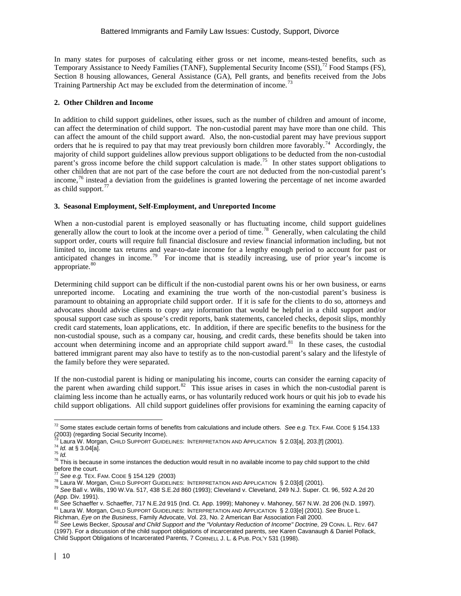In many states for purposes of calculating either gross or net income, means-tested benefits, such as Temporary Assistance to Needy Families (TANF), Supplemental Security Income (SSI), <sup>[72](#page-9-0)</sup> Food Stamps (FS), Section 8 housing allowances, General Assistance (GA), Pell grants, and benefits received from the Jobs Training Partnership Act may be excluded from the determination of income.<sup>[73](#page-9-1)</sup>

## **2. Other Children and Income**

In addition to child support guidelines, other issues, such as the number of children and amount of income, can affect the determination of child support. The non-custodial parent may have more than one child. This can affect the amount of the child support award. Also, the non-custodial parent may have previous support orders that he is required to pay that may treat previously born children more favorably.<sup>74</sup> Accordingly, the majority of child support guidelines allow previous support obligations to be deducted from the non-custodial parent's gross income before the child support calculation is made.<sup>[75](#page-9-3)</sup> In other states support obligations to other children that are not part of the case before the court are not deducted from the non-custodial parent's income,[76](#page-9-4) instead a deviation from the guidelines is granted lowering the percentage of net income awarded as child support. $77$ 

## **3. Seasonal Employment, Self-Employment, and Unreported Income**

When a non-custodial parent is employed seasonally or has fluctuating income, child support guidelines generally allow the court to look at the income over a period of time.<sup>78</sup> Generally, when calculating the child support order, courts will require full financial disclosure and review financial information including, but not limited to, income tax returns and year-to-date income for a lengthy enough period to account for past or anticipated changes in income.<sup>[79](#page-9-7)</sup> For income that is steadily increasing, use of prior year's income is appropriate.<sup>[80](#page-9-8)</sup>

Determining child support can be difficult if the non-custodial parent owns his or her own business, or earns unreported income. Locating and examining the true worth of the non-custodial parent's business is paramount to obtaining an appropriate child support order. If it is safe for the clients to do so, attorneys and advocates should advise clients to copy any information that would be helpful in a child support and/or spousal support case such as spouse's credit reports, bank statements, canceled checks, deposit slips, monthly credit card statements, loan applications, etc. In addition, if there are specific benefits to the business for the non-custodial spouse, such as a company car, housing, and credit cards, these benefits should be taken into account when determining income and an appropriate child support award.<sup>81</sup> In these cases, the custodial battered immigrant parent may also have to testify as to the non-custodial parent's salary and the lifestyle of the family before they were separated.

If the non-custodial parent is hiding or manipulating his income, courts can consider the earning capacity of the parent when awarding child support.<sup>82</sup> This issue arises in cases in which the non-custodial parent is claiming less income than he actually earns, or has voluntarily reduced work hours or quit his job to evade his child support obligations. All child support guidelines offer provisions for examining the earning capacity of

<span id="page-9-0"></span><sup>72</sup> Some states exclude certain forms of benefits from calculations and include others. *See e.g.* TEX. FAM. CODE § 154.133 (2003) (regarding Social Security Income).<br><sup>73</sup> Laura W. Morgan, CHILD SUPPORT GUIDELINES: INTERPRETATION AND APPLICATION § 2.03[a], 203.[f] (2001).

<span id="page-9-4"></span>

<span id="page-9-3"></span><span id="page-9-2"></span><span id="page-9-1"></span> $\frac{74}{75}$  *Id.* at § 3.04[a].<br> $\frac{74}{75}$  *Id.*<br> $\frac{75}{75}$  This is because in some instances the deduction would result in no available income to pay child support to the child before the court.<br>
<sup>77</sup> See e.g. TEX. FAM. CODE § 154.129 (2003)

<span id="page-9-7"></span><span id="page-9-6"></span><span id="page-9-5"></span><sup>&</sup>lt;sup>78</sup> Laura W. Morgan, CHILD SUPPORT GUIDELINES: INTERPRETATION AND APPLICATION § 2.03[d] (2001).<br><sup>79</sup> See Ball v. Wills, 190 W.Va. 517, 438 S.E.2d 860 (1993); Cleveland v. Cleveland, 249 N.J. Super. Ct. 96, 592 A.2d 20 App. Div. 1991).<br>(App. Div. 1991).<br><sup>80</sup> See Schaeffer v. Schaeffer, 717 N.E.2d 915 (Ind. Ct. App. 1999); Mahoney v. Mahoney, 567 N.W. 2d 206 (N.D. 1997).

<span id="page-9-8"></span><sup>&</sup>lt;sup>81</sup> Laura W. Morgan, CHILD SUPPORT GUIDELINES: INTERPRETATION AND APPLICATION § 2.03[e] (2001). See Bruce L.

<span id="page-9-9"></span>Richman, Eye on the Business, Family Advocate, Vol. 23, No. 2 American Bar Association Fall 2000.<br><sup>82</sup> See Lewis Becker, Spousal and Child Support and the "Voluntary Reduction of Income" Doctrine, 29 Conn. L. REV. 647

<span id="page-9-10"></span><sup>(1997).</sup> For a discussion of the child support obligations of incarcerated parents*, see* Karen Cavanaugh & Daniel Pollack, Child Support Obligations of Incarcerated Parents, 7 CORNELL J. L. & PUB. POL'Y 531 (1998).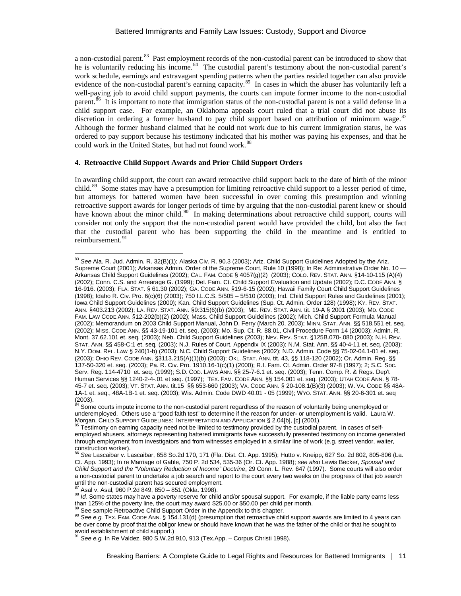a non-custodial parent.<sup>83</sup> Past employment records of the non-custodial parent can be introduced to show that he is voluntarily reducing his income.<sup>[84](#page-10-1)</sup> The custodial parent's testimony about the non-custodial parent's work schedule, earnings and extravagant spending patterns when the parties resided together can also provide evidence of the non-custodial parent's earning capacity.<sup>85</sup> In cases in which the abuser has voluntarily left a well-paying job to avoid child support payments, the courts can impute former income to the non-custodial parent.[86](#page-10-3) It is important to note that immigration status of the non-custodial parent is not a valid defense in a child support case. For example, an Oklahoma appeals court ruled that a trial court did not abuse its discretion in ordering a former husband to pay child support based on attribution of minimum wage.<sup>[87](#page-10-4)</sup> Although the former husband claimed that he could not work due to his current immigration status, he was ordered to pay support because his testimony indicated that his mother was paying his expenses, and that he could work in the United States, but had not found work.<sup>[88](#page-10-5)</sup>

#### **4. Retroactive Child Support Awards and Prior Child Support Orders**

In awarding child support, the court can award retroactive child support back to the date of birth of the minor child.<sup>89</sup> Some states may have a presumption for limiting retroactive child support to a lesser period of time, but attorneys for battered women have been successful in over coming this presumption and winning retroactive support awards for longer periods of time by arguing that the non-custodial parent knew or should have known about the minor child.<sup>[90](#page-10-7)</sup> In making determinations about retroactive child support, courts will consider not only the support that the non-custodial parent would have provided the child, but also the fact that the custodial parent who has been supporting the child in the meantime and is entitled to reimbursement.<sup>91</sup>

<span id="page-10-0"></span><sup>83</sup> *See* Ala. R. Jud. Admin. R. 32(B)(1); Alaska Civ. R. 90.3 (2003); Ariz. Child Support Guidelines Adopted by the Ariz. Supreme Court (2001); Arkansas Admin. Order of the Supreme Court, Rule 10 (1998); In Re: Administrative Order No. 10 — Arkansas Child Support Guidelines (2002); CAL. FAM. CODE § 4057(g)(2) (2003); COLO. REV. STAT. ANN. §14-10-115 (A)(4) (2002); Conn. C.S. and Arrearage G. (1999); Del. Fam. Ct. Child Support Evaluation and Update (2002); D.C. CODE ANN. § 16-916. (2003); FLA. STAT. § 61.30 (2002); GA. CODE ANN. §19-6-15 (2002); Hawaii Family Court Child Support Guidelines (1998); Idaho R. Civ. Pro. 6(c)(6) (2003); 750 I.L.C.S. 5/505 – 5/510 (2003); Ind. Child Support Rules and Guidelines (2001); Iowa Child Support Guidelines (2000); Kan. Child Support Guidelines (Sup. Ct. Admin. Order 128) (1998); KY. REV. STAT. ANN. §403.213 (2002); LA. REV. STAT. ANN. §9:315(6)(b) (2003); ME. REV. STAT. ANN. tit. 19-A § 2001 (2003); MD. CODE FAM. LAW CODE ANN. §12-202(b)(2) (2002); Mass. Child Support Guidelines (2002); Mich. Child Support Formula Manual (2002); Memorandum on 2003 Child Support Manual, John D. Ferry (March 20, 2003); MINN. STAT. ANN. §§ 518.551 et. seq. (2002); MISS. CODE ANN. §§ 43-19-101 et. seq. (2003); Mo. Sup. Ct. R. 88.01, Civil Procedure Form 14 (20003); Admin. R. Mont. 37.62.101 et. seq. (2003); Neb. Child Support Guidelines (2003); NEV. REV. STAT. §125B.070-.080 (2003); N.H. REV. STAT. ANN. §§ 458-C:1 et. seq. (2003); N.J. Rules of Court, Appendix IX (2003); N.M. Stat. Ann. §§ 40-4-11 et. seq. (2003); N.Y. DOM. REL. LAW § 240(1-b) (2003); N.C. Child Support Guidelines (2002); N.D. Admin. Code §§ 75-02-04.1-01 et. seq. (2003); OHIO REV. CODE ANN. §3113.215(A)(1)(b) (2003); OKL. STAT. ANN. tit. 43, §§ 118-120 (2002); Or. Admin. Reg. §§ 137-50-320 et. seq. (2003); Pa. R. Civ. Pro. 1910.16-1(c)(1) (2000); R.I. Fam. Ct. Admin. Order 97-8 (1997); 2; S.C. Soc. Serv. Reg. 114-4710 et. seq. (1999); S.D. COD. LAWS ANN. §§ 25-7-6.1 et. seq. (2003); Tenn. Comp. R. & Regs. Dep't Human Services §§ 1240-2-4-.01 et seq. (1997); TEX. FAM. CODE ANN. §§ 154.001 et. seq. (2003); UTAH CODE ANN. § 78- 45-7 et. seq. (2003); VT. STAT. ANN. tit.15 §§ 653-660 (2003); VA. CODE ANN. § 20-108.1(B)(3) (2003); W. VA. CODE §§ 48A-1A-1 et. seq., 48A-1B-1 et. seq. (2003); Wis. Admin. Code DWD 40.01 - 05 (1999); WYO. STAT. ANN. §§ 20-6-301 et. seq  $(2003)$ .

<span id="page-10-1"></span>Some courts impute income to the non-custodial parent regardless of the reason of voluntarily being unemployed or underemployed. Others use a "good faith test" to determine if the reason for under- or unemployment is valid. Laura W.<br>Morgan, CHILD SUPPORT GUIDELINES: INTERPRETATION AND APPLICATION § 2.04[b], [c] (2001).

<span id="page-10-2"></span> $^{85}$  Testimony on earning capacity need not be limited to testimony provided by the custodial parent. In cases of selfemployed abusers, attorneys representing battered immigrants have successfully presented testimony on income generated through employment from investigators and from witnesses employed in a similar line of work (e.g. street vendor, waiter, construction worker).

<span id="page-10-3"></span><sup>86</sup> *See* Lascaibar v. Lascaibar, 658 So.2d 170, 171 (Fla. Dist. Ct. App. 1995); Hutto v. Kneipp, 627 So. 2d 802, 805-806 (La. Ct. App. 1993); In re Marriage of Gable, 750 P. 2d 534, 535-36 (Or. Ct. App. 1988); *see also* Lewis Becker, *Spousal and Child Support and the "Voluntary Reduction of Income" Doctrine*, 29 Conn. L. Rev. 647 (1997). Some courts will also order a non-custodial parent to undertake a job search and report to the court every two weeks on the progress of that job search

<span id="page-10-5"></span><span id="page-10-4"></span><sup>&</sup>lt;sup>87</sup> Asal v. Asal, 960 P.2d 849, 850 - 851 (Okla. 1998).<br><sup>88</sup> Id. Some states may have a poverty reserve for child and/or spousal support. For example, if the liable party earns less than 125% of the poverty line, the cou

<span id="page-10-7"></span><span id="page-10-6"></span><sup>&</sup>lt;sup>89</sup> See sample Retroactive Child Support Order in the Appendix to this chapter.<br><sup>90</sup> See e.g. TEX. FAM. CODE ANN. § 154.131(d) (presumption that retroactive child support awards are limited to 4 years can be over come by proof that the obligor knew or should have known that he was the father of the child or that he sought to

<span id="page-10-8"></span>avoid establishment of child support.) <sup>91</sup> *See e.g.* In Re Valdez, 980 S.W.2d 910, 913 (Tex.App. – Corpus Christi 1998).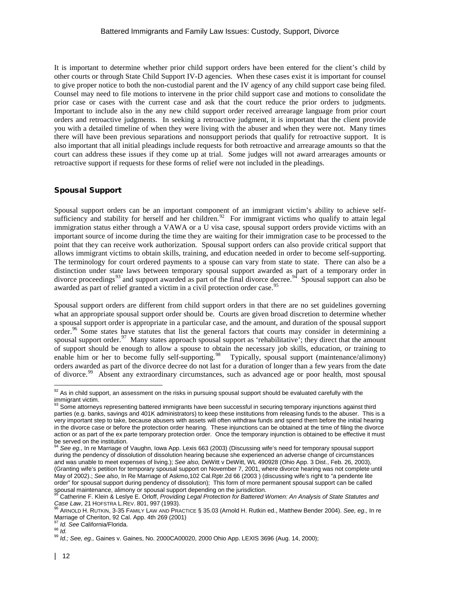It is important to determine whether prior child support orders have been entered for the client's child by other courts or through State Child Support IV-D agencies. When these cases exist it is important for counsel to give proper notice to both the non-custodial parent and the IV agency of any child support case being filed. Counsel may need to file motions to intervene in the prior child support case and motions to consolidate the prior case or cases with the current case and ask that the court reduce the prior orders to judgments. Important to include also in the any new child support order received arrearage language from prior court orders and retroactive judgments. In seeking a retroactive judgment, it is important that the client provide you with a detailed timeline of when they were living with the abuser and when they were not. Many times there will have been previous separations and nonsupport periods that qualify for retroactive support. It is also important that all initial pleadings include requests for both retroactive and arrearage amounts so that the court can address these issues if they come up at trial. Some judges will not award arrearages amounts or retroactive support if requests for these forms of relief were not included in the pleadings.

## Spousal Support

Spousal support orders can be an important component of an immigrant victim's ability to achieve self-sufficiency and stability for herself and her children.<sup>[92](#page-11-0)</sup> For immigrant victims who qualify to attain legal immigration status either through a VAWA or a U visa case, spousal support orders provide victims with an important source of income during the time they are waiting for their immigration case to be processed to the point that they can receive work authorization. Spousal support orders can also provide critical support that allows immigrant victims to obtain skills, training, and education needed in order to become self-supporting. The terminology for court ordered payments to a spouse can vary from state to state. There can also be a distinction under state laws between temporary spousal support awarded as part of a temporary order in divorce proceedings<sup>[93](#page-11-1)</sup> and support awarded as part of the final divorce decree.<sup>94</sup> Spousal support can also be awarded as part of relief granted a victim in a civil protection order case.<sup>[95](#page-11-3)</sup>

Spousal support orders are different from child support orders in that there are no set guidelines governing what an appropriate spousal support order should be. Courts are given broad discretion to determine whether a spousal support order is appropriate in a particular case, and the amount, and duration of the spousal support order.<sup>[96](#page-11-4)</sup> Some states have statutes that list the general factors that courts may consider in determining a spousal support order.<sup>[97](#page-11-5)</sup> Many states approach spousal support as 'rehabilitative'; they direct that the amount of support should be enough to allow a spouse to obtain the necessary job skills, education, or training to enable him or her to become fully self-supporting.<sup>[98](#page-11-6)</sup> Typically, spousal support (maintenance/alimony) orders awarded as part of the divorce decree do not last for a duration of longer than a few years from the date of divorce.[99](#page-11-7) Absent any extraordinary circumstances, such as advanced age or poor health, most spousal

<span id="page-11-0"></span> $92$  As in child support, an assessment on the risks in pursuing spousal support should be evaluated carefully with the immigrant victim.

<span id="page-11-1"></span><sup>93</sup> Some attorneys representing battered immigrants have been successful in securing temporary injunctions against third parties (e.g. banks, savings and 401K administrators) to keep these institutions from releasing funds to the abuser. This is a very important step to take, because abusers with assets will often withdraw funds and spend them before the initial hearing in the divorce case or before the protection order hearing. These injunctions can be obtained at the time of filing the divorce action or as part of the ex parte temporary protection order. Once the temporary injunction is obtained to be effective it must be served on the institution.<br><sup>94</sup> See eg., In re Marriage of Vaughn, Iowa App. Lexis 663 (2003) (Discussing wife's need for temporary spousal support

<span id="page-11-2"></span>during the pendency of dissolution of dissolution hearing because she experienced an adverse change of circumstances and was unable to meet expenses of living.); *See also,* DeWitt v DeWitt, WL 490928 (Ohio App. 3 Dist., Feb. 26, 2003), (Granting wife's petition for temporary spousal support on November 7, 2001, where divorce hearing was not complete until May of 2002).; *See also*, In Re Marriage of Askmo,102 Cal.Rptr.2d 66 (2003 ) (discussing wife's right to "a pendente lite order" for spousal support during pendency of dissolution); This form of more permanent spousal support can be called<br>spousal maintenance, alimony or spousal support depending on the jurisdiction.

<span id="page-11-3"></span>Catherine F. Klein & Leslye E. Orloff, *Providing Legal Protection for Battered Women: An Analysis of State Statutes and* Case Law, 21 HOFSTRA L.REV. 801, 997 (1993).<br><sup>96</sup> ARNOLD H. RUTKIN, 3-35 FAMILY LAW AND PRACTICE § 35.03 (Arnold H. Rutkin ed., Matthew Bender 2004). *See, eg.,* In re

<span id="page-11-4"></span>Marriage of Cheriton, 92 Cal. App. 4th 269 (2001)

<span id="page-11-7"></span><span id="page-11-6"></span><span id="page-11-5"></span><sup>77</sup> *Id. See* California/Florida.<br><sup>98</sup> *Id.*<br><sup>99</sup> *Id.; See, eg.,* Gaines v. Gaines, No. 2000CA00020, 2000 Ohio App. LEXIS 3696 (Aug. 14, 2000);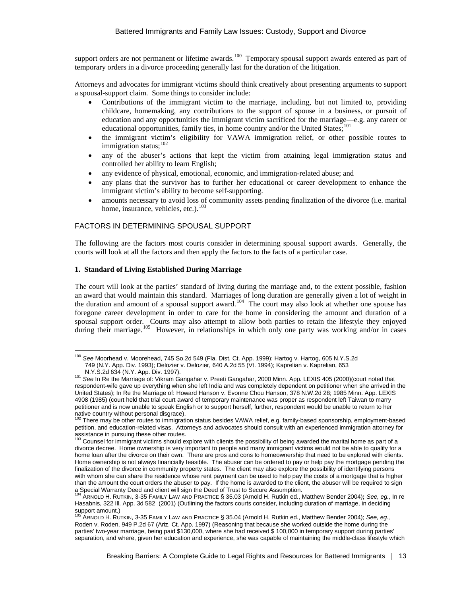support orders are not permanent or lifetime awards.<sup>[100](#page-12-0)</sup> Temporary spousal support awards entered as part of temporary orders in a divorce proceeding generally last for the duration of the litigation.

Attorneys and advocates for immigrant victims should think creatively about presenting arguments to support a spousal-support claim. Some things to consider include:

- Contributions of the immigrant victim to the marriage, including, but not limited to, providing childcare, homemaking, any contributions to the support of spouse in a business, or pursuit of education and any opportunities the immigrant victim sacrificed for the marriage—e.g. any career or educational opportunities, family ties, in home country and/or the United States;<sup>[101](#page-12-1)</sup>
- the immigrant victim's eligibility for VAWA immigration relief, or other possible routes to immigration status; $^{102}$  $^{102}$  $^{102}$
- any of the abuser's actions that kept the victim from attaining legal immigration status and controlled her ability to learn English;
- any evidence of physical, emotional, economic, and immigration-related abuse; and
- any plans that the survivor has to further her educational or career development to enhance the immigrant victim's ability to become self-supporting.
- amounts necessary to avoid loss of community assets pending finalization of the divorce (i.e. marital home, insurance, vehicles, etc.).<sup>[103](#page-12-3)</sup>

# FACTORS IN DETERMINING SPOUSAL SUPPORT

The following are the factors most courts consider in determining spousal support awards. Generally, the courts will look at all the factors and then apply the factors to the facts of a particular case.

#### **1. Standard of Living Established During Marriage**

The court will look at the parties' standard of living during the marriage and, to the extent possible, fashion an award that would maintain this standard. Marriages of long duration are generally given a lot of weight in the duration and amount of a spousal support award.<sup>[104](#page-12-4)</sup> The court may also look at whether one spouse has foregone career development in order to care for the home in considering the amount and duration of a spousal support order. Courts may also attempt to allow both parties to retain the lifestyle they enjoyed during their marriage.<sup>105</sup> However, in relationships in which only one party was working and/or in cases

<span id="page-12-0"></span><sup>100</sup> *See* Moorhead v. Moorehead, 745 So.2d 549 (Fla. Dist. Ct. App. 1999); Hartog v. Hartog, 605 N.Y.S.2d 749 (N.Y. App. Div. 1993); Delozier v. Delozier, 640 A.2d 55 (Vt. 1994); Kaprelian v. Kaprelian, 653

<span id="page-12-1"></span><sup>101</sup> See In Re the Marriage of: Vikram Gangahar v. Preeti Gangahar, 2000 Minn. App. LEXIS 405 (2000)(court noted that respondent-wife gave up everything when she left India and was completely dependent on petitioner when she arrived in the United States); In Re the Marriage of: Howard Hanson v. Evonne Chou Hanson, 378 N.W.2d 28; 1985 Minn. App. LEXIS 4908 (1985) (court held that trial court award of temporary maintenance was proper as respondent left Taiwan to marry petitioner and is now unable to speak English or to support herself, further, respondent would be unable to return to her

<span id="page-12-2"></span>native country without personal disgrace).<br><sup>102</sup> There may be other routes to immigration status besides VAWA relief, e.g. family-based sponsorship, employment-based petition, and education-related visas. Attorneys and advocates should consult with an experienced immigration attorney for **assistance in pursuing these other routes.**<br><sup>103</sup> Councel for in

<span id="page-12-3"></span>Counsel for immigrant victims should explore with clients the possibility of being awarded the marital home as part of a divorce decree. Home ownership is very important to people and many immigrant victims would not be able to qualify for a home loan after the divorce on their own. There are pros and cons to homeownership that need to be explored with clients. Home ownership is not always financially feasible. The abuser can be ordered to pay or help pay the mortgage pending the finalization of the divorce in community property states. The client may also explore the possibility of identifying persons with whom she can share the residence whose rent payment can be used to help pay the costs of a mortgage that is higher than the amount the court orders the abuser to pay. If the home is awarded to the client, the abuser will be required to sign a Special Warranty Deed and client will sign the Deed of Trust to Secure Assumption.

<span id="page-12-4"></span><sup>104</sup> ARNOLD H. RUTKIN, 3-35 FAMILY LAW AND PRACTICE § 35.03 (Arnold H. Rutkin ed., Matthew Bender 2004)**;** *See, eg.,* In re Hasabnis, 322 Ill. App. 3d 582 (2001) (Outlining the factors courts consider, including duration of marriage, in deciding support amount.)

<span id="page-12-5"></span><sup>105</sup> ARNOLD H. RUTKIN, 3-35 FAMILY LAW AND PRACTICE § 35.04 (Arnold H. Rutkin ed., Matthew Bender 2004); *See, eg.,*  [Roden v. Roden, 949 P.2d 67 \(Ariz. Ct. App. 1997\)](http://www.lexis.com/research/buttonTFLink?_m=c6be8d5082a6c72a817b4f8079afd3a4&_xfercite=%3ccite%20cc%3d%22USA%22%3e%3c%21%5bCDATA%5b3-35%20Family%20Law%20and%20Practice%20%a7%2035.03%5d%5d%3e%3c%2fcite%3e&_butType=3&_butStat=2&_butNum=130&_but) (Reasoning that because she worked outside the home during the parties' two-year marriage, being paid \$130,000, where she had received \$ 100,000 in temporary support during parties' separation, and where, given her education and experience, she was capable of maintaining the middle-class lifestyle which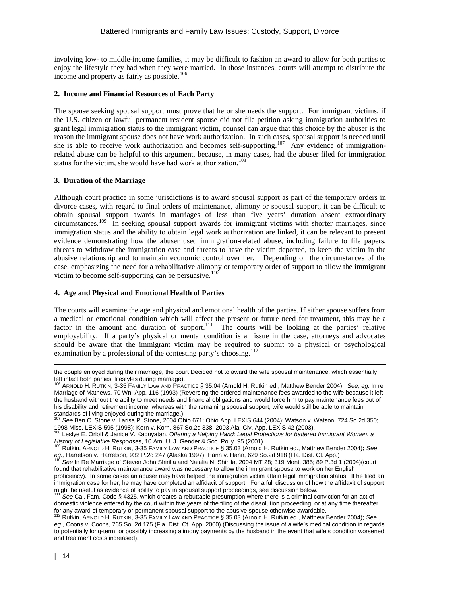involving low- to middle-income families, it may be difficult to fashion an award to allow for both parties to enjoy the lifestyle they had when they were married. In those instances, courts will attempt to distribute the income and property as fairly as possible.<sup>[106](#page-13-0)</sup>

#### **2. Income and Financial Resources of Each Party**

The spouse seeking spousal support must prove that he or she needs the support. For immigrant victims, if the U.S. citizen or lawful permanent resident spouse did not file petition asking immigration authorities to grant legal immigration status to the immigrant victim, counsel can argue that this choice by the abuser is the reason the immigrant spouse does not have work authorization. In such cases, spousal support is needed until she is able to receive work authorization and becomes self-supporting.<sup>[107](#page-13-1)</sup> Any evidence of immigrationrelated abuse can be helpful to this argument, because, in many cases, had the abuser filed for immigration status for the victim, she would have had work authorization.<sup>[108](#page-13-2)</sup>

## **3. Duration of the Marriage**

Although court practice in some jurisdictions is to award spousal support as part of the temporary orders in divorce cases, with regard to final orders of maintenance, alimony or spousal support, it can be difficult to obtain spousal support awards in marriages of less than five years' duration absent extraordinary circumstances.[109](#page-13-3) In seeking spousal support awards for immigrant victims with shorter marriages, since immigration status and the ability to obtain legal work authorization are linked, it can be relevant to present evidence demonstrating how the abuser used immigration-related abuse, including failure to file papers, threats to withdraw the immigration case and threats to have the victim deported, to keep the victim in the abusive relationship and to maintain economic control over her. Depending on the circumstances of the case, emphasizing the need for a rehabilitative alimony or temporary order of support to allow the immigrant victim to become self-supporting can be persuasive.<sup>[110](#page-13-4)</sup>

#### **4. Age and Physical and Emotional Health of Parties**

The courts will examine the age and physical and emotional health of the parties. If either spouse suffers from a medical or emotional condition which will affect the present or future need for treatment, this may be a factor in the amount and duration of support.<sup>111</sup> The courts will be looking at the parties' relative employability. If a party's physical or mental condition is an issue in the case, attorneys and advocates should be aware that the immigrant victim may be required to submit to a physical or psychological examination by a professional of the contesting party's choosing.<sup>[112](#page-13-6)</sup>

standards of living enjoyed during the marriage.)<br><sup>107</sup> See Ben C. Stone v. Larisa P. Stone, 2004 Ohio 671; Ohio App. LEXIS 644 (2004); Watson v. Watson, 724 So.2d 350;

 $\overline{a}$ 

the couple enjoyed during their marriage, the court Decided not to award the wife spousal maintenance, which essentially left intact both parties' lifestyles during marriage).<br><sup>106</sup> Apaloun H. During control of the T

<span id="page-13-0"></span><sup>106</sup> ARNOLD H. RUTKIN, 3-35 FAMILY LAW AND PRACTICE § 35.04 (Arnold H. Rutkin ed., Matthew Bender 2004). *See, eg.* In re Marriage of Mathews, 70 Wn. App. 116 (1993) (Reversing the ordered maintenance fees awarded to the wife because it left the husband without the ability to meet needs and financial obligations and would force him to pay maintenance fees out of his disability and retirement income, whereas with the remaining spousal support, wife would still be able to maintain

<span id="page-13-2"></span><span id="page-13-1"></span><sup>1998</sup> Miss. LEXIS 595 (1998); Korn v. Korn, 867 So.2d 338, 2003 Ala. Civ. App. LEXIS 42 (2003). <sup>108</sup> Leslye E. Orloff & Janice V. Kaguyatan, *Offering a Helping Hand: Legal Protections for battered Immigrant Women: a History of Legislative Responses*, 10 Am. U. J. Gender & Soc. Pol'y. 95 (2001). 109 Rutkin, ARNOLD H. RUTKIN, 3-35 FAMILY LAW AND PRACTICE § 35.03 (Arnold H. Rutkin ed., Matthew Bender 2004)**;** *See*

<span id="page-13-3"></span>eg., Harrelson v. Harrelson, 932 P.2d 247 (Alaska 1997); Hann v. Hann, 629 So.2d 918 (Fla. Dist. Ct. App.)<br><sup>110</sup> See In Re Marriage of Steven John Shirilla and Natalia N. Shirilla, 2004 MT 28; 319 Mont. 385; 89 P.3d 1 (200

<span id="page-13-4"></span>found that rehabilitative maintenance award was necessary to allow the immigrant spouse to work on her English

proficiency). In some cases an abuser may have helped the immigration victim attain legal immigration status. If he filed an immigration case for her, he may have completed an affidavit of support. For a full discussion of how the affidavit of support might be useful as evidence of ability to pay in spousal support proceedings, see discussion below.<br><sup>111</sup> See Cal. Eam. Cade 6, 4395 which you in spousal support proceedings, see discussion below.

<span id="page-13-5"></span><sup>111</sup> *See* Cal. Fam. Code § 4325, which creates a rebuttable presumption where there is a criminal conviction for an act of domestic violence entered by the court within five years of the filing of the dissolution proceeding, or at any time thereafter for any award of temporary or permanent spousal support to the abusive spouse otherwise awardable. <sup>112</sup> Rutkin, ARNOLD H. RUTKIN, 3-35 FAMILY LAW AND PRACTICE § 35.03 (Arnold H. Rutkin ed., Matthew Bender 2004); *See.,* 

<span id="page-13-6"></span>*eg.,* [Coons v. Coons, 765 So. 2d 175 \(Fla. Dist. Ct. App. 2000\)](http://www.lexis.com/research/buttonTFLink?_m=a73da9801afecd9709471ad6ece8cfcb&_xfercite=%3ccite%20cc%3d%22USA%22%3e%3c%21%5bCDATA%5b3-35%20Family%20Law%20and%20Practice%20%a7%2035.03%5d%5d%3e%3c%2fcite%3e&_butType=3&_butStat=2&_butNum=289&_but) (Discussing the issue of a wife's medical condition in regards to potentially long-term, or possibly increasing alimony payments by the husband in the event that wife's condition worsened and treatment costs increased).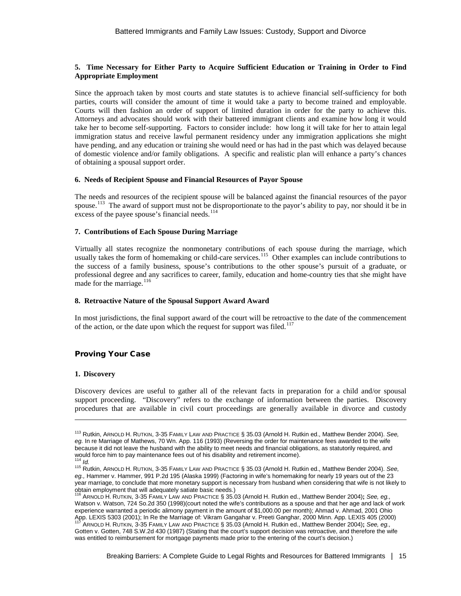#### **5. Time Necessary for Either Party to Acquire Sufficient Education or Training in Order to Find Appropriate Employment**

Since the approach taken by most courts and state statutes is to achieve financial self-sufficiency for both parties, courts will consider the amount of time it would take a party to become trained and employable. Courts will then fashion an order of support of limited duration in order for the party to achieve this. Attorneys and advocates should work with their battered immigrant clients and examine how long it would take her to become self-supporting. Factors to consider include: how long it will take for her to attain legal immigration status and receive lawful permanent residency under any immigration applications she might have pending, and any education or training she would need or has had in the past which was delayed because of domestic violence and/or family obligations. A specific and realistic plan will enhance a party's chances of obtaining a spousal support order.

#### **6. Needs of Recipient Spouse and Financial Resources of Payor Spouse**

The needs and resources of the recipient spouse will be balanced against the financial resources of the payor spouse.<sup>[113](#page-14-0)</sup> The award of support must not be disproportionate to the payor's ability to pay, nor should it be in excess of the payee spouse's financial needs. $114$ 

## **7. Contributions of Each Spouse During Marriage**

Virtually all states recognize the nonmonetary contributions of each spouse during the marriage, which usually takes the form of homemaking or child-care services.<sup>[115](#page-14-2)</sup> Other examples can include contributions to the success of a family business, spouse's contributions to the other spouse's pursuit of a graduate, or professional degree and any sacrifices to career, family, education and home-country ties that she might have made for the marriage.<sup>[116](#page-14-3)</sup>

#### **8. Retroactive Nature of the Spousal Support Award Award**

In most jurisdictions, the final support award of the court will be retroactive to the date of the commencement of the action, or the date upon which the request for support was filed.<sup>[117](#page-14-4)</sup>

## Proving Your Case

#### **1. Discovery**

 $\overline{a}$ 

Discovery devices are useful to gather all of the relevant facts in preparation for a child and/or spousal support proceeding. "Discovery" refers to the exchange of information between the parties. Discovery procedures that are available in civil court proceedings are generally available in divorce and custody

<span id="page-14-0"></span><sup>113</sup> Rutkin, ARNOLD H. RUTKIN, 3-35 FAMILY LAW AND PRACTICE § 35.03 (Arnold H. Rutkin ed., Matthew Bender 2004). *See, eg.* In re Marriage of Mathews, 70 Wn. App. 116 (1993) (Reversing the order for maintenance fees awarded to the wife because it did not leave the husband with the ability to meet needs and financial obligations, as statutorily required, and would force him to pay maintenance fees out of his disability and retirement income).

<span id="page-14-2"></span><span id="page-14-1"></span><sup>114</sup> *Id.* <sup>115</sup> Rutkin, ARNOLD H. RUTKIN, 3-35 FAMILY LAW AND PRACTICE § 35.03 (Arnold H. Rutkin ed., Matthew Bender 2004). *See, eg.,* Hammer v. Hammer, 991 P.2d 195 (Alaska 1999) (Factoring in wife's homemaking for nearly 19 years out of the 23 year marriage, to conclude that more monetary support is necessary from husband when considering that wife is not likely to the tain employment that will adequately satiate basic needs.)

<span id="page-14-4"></span><span id="page-14-3"></span>obtain employment that will adequately satiate basic needs.) <sup>116</sup> ARNOLD H. RUTKIN, 3-35 FAMILY LAW AND PRACTICE § 35.03 (Arnold H. Rutkin ed., Matthew Bender 2004)**;** *See, eg.,* Watson v. Watson, 724 So.2d 350 (1998)(court noted the wife's contributions as a spouse and that her age and lack of work experience warranted a periodic alimony payment in the amount of \$1,000.00 per month); Ahmad v. Ahmad, 2001 Ohio App. LEXIS 5303 (2001); In Re the Marriage of: Vikram Gangahar v. Preeti Ganghar, 2000 Minn. App. LEXIS 405 (2000) <sup>117</sup> ARNOLD H. RUTKIN, 3-35 FAMILY LAW AND PRACTICE § 35.03 (Arnold H. Rutkin ed., Matthew Bender 2004)**;** *See, eg.,* Gotten v. Gotten, 748 S.W.2d 430 (1987) (Stating that the court's support decision was retroactive, and therefore the wife was entitled to reimbursement for mortgage payments made prior to the entering of the court's decision.)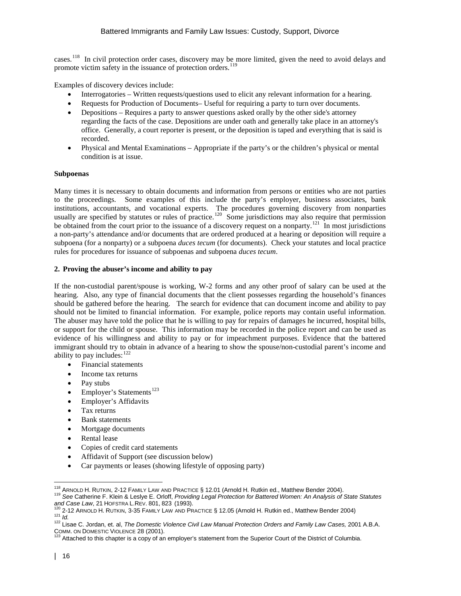cases.[118](#page-15-0) In civil protection order cases, discovery may be more limited, given the need to avoid delays and promote victim safety in the issuance of protection orders.<sup>[119](#page-15-1)</sup>

Examples of discovery devices include:

- Interrogatories Written requests/questions used to elicit any relevant information for a hearing.
- Requests for Production of Documents– Useful for requiring a party to turn over documents.
- Depositions Requires a party to answer questions asked orally by the other side's attorney regarding the facts of the case. Depositions are under oath and generally take place in an attorney's office. Generally, a court reporter is present, or the deposition is taped and everything that is said is recorded.
- Physical and Mental Examinations Appropriate if the party's or the children's physical or mental condition is at issue.

#### **Subpoenas**

Many times it is necessary to obtain documents and information from persons or entities who are not parties to the proceedings. Some examples of this include the party's employer, business associates, bank institutions, accountants, and vocational experts. The procedures governing discovery from nonparties usually are specified by statutes or rules of practice.<sup>120</sup> Some jurisdictions may also require that permission be obtained from the court prior to the issuance of a discovery request on a nonparty.<sup>121</sup> In most jurisdictions a non-party's attendance and/or documents that are ordered produced at a hearing or deposition will require a subpoena (for a nonparty) or a subpoena *duces tecum* (for documents). Check your statutes and local practice rules for procedures for issuance of subpoenas and subpoena *duces tecum*.

## **2. Proving the abuser's income and ability to pay**

If the non-custodial parent/spouse is working, W-2 forms and any other proof of salary can be used at the hearing. Also, any type of financial documents that the client possesses regarding the household's finances should be gathered before the hearing. The search for evidence that can document income and ability to pay should not be limited to financial information. For example, police reports may contain useful information. The abuser may have told the police that he is willing to pay for repairs of damages he incurred, hospital bills, or support for the child or spouse. This information may be recorded in the police report and can be used as evidence of his willingness and ability to pay or for impeachment purposes. Evidence that the battered immigrant should try to obtain in advance of a hearing to show the spouse/non-custodial parent's income and ability to pay includes:  $122$ 

- Financial statements
- Income tax returns
- Pay stubs
- Employer's Statements<sup>[123](#page-15-5)</sup>
- Employer's Affidavits
- Tax returns
- Bank statements
- Mortgage documents
- Rental lease
- Copies of credit card statements
- Affidavit of Support (see discussion below)
- Car payments or leases (showing lifestyle of opposing party)

<span id="page-15-1"></span><span id="page-15-0"></span><sup>&</sup>lt;sup>118</sup> ARNOLD H. RUTKIN, 2-12 FAMILY LAW AND PRACTICE § 12.01 (Arnold H. Rutkin ed., Matthew Bender 2004).<br><sup>119</sup> See Catherine F. Klein & Leslye E. Orloff, *Providing Legal Protection for Battered Women: An Analysis of Stat* University of University C. University C. University of District Protection for Battered Women: An Analysis of State Statutes<br>
and Case Law, 21 HOFSTRA L.REV. 801, 823 (1993).<br>
<sup>120</sup> 2-12 ARNOLD H. RUTKIN, 3-35 FAMILY LAW

<span id="page-15-3"></span><span id="page-15-2"></span>

<span id="page-15-4"></span>

<span id="page-15-5"></span>Attached to this chapter is a copy of an employer's statement from the Superior Court of the District of Columbia.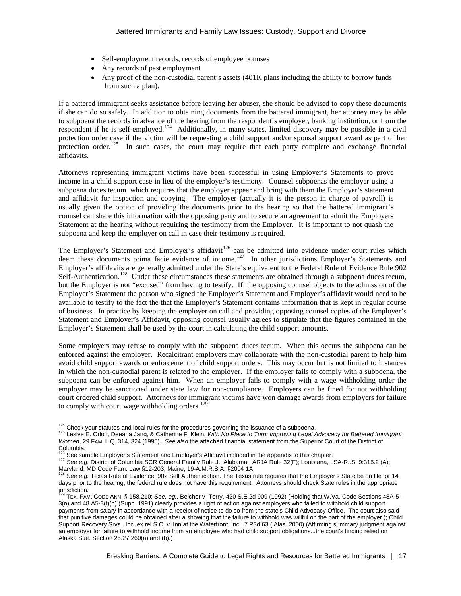- Self-employment records, records of employee bonuses
- Any records of past employment
- Any proof of the non-custodial parent's assets (401K plans including the ability to borrow funds from such a plan).

If a battered immigrant seeks assistance before leaving her abuser, she should be advised to copy these documents if she can do so safely. In addition to obtaining documents from the battered immigrant, her attorney may be able to subpoena the records in advance of the hearing from the respondent's employer, banking institution, or from the respondent if he is self-employed.<sup>[124](#page-16-0)</sup> Additionally, in many states, limited discovery may be possible in a civil protection order case if the victim will be requesting a child support and/or spousal support award as part of her protection order.<sup>[125](#page-16-1)</sup> In such cases, the court may require that each party complete and exchange financial affidavits.

Attorneys representing immigrant victims have been successful in using Employer's Statements to prove income in a child support case in lieu of the employer's testimony. Counsel subpoenas the employer using a subpoena duces tecum which requires that the employer appear and bring with them the Employer's statement and affidavit for inspection and copying. The employer (actually it is the person in charge of payroll) is usually given the option of providing the documents prior to the hearing so that the battered immigrant's counsel can share this information with the opposing party and to secure an agreement to admit the Employers Statement at the hearing without requiring the testimony from the Employer. It is important to not quash the subpoena and keep the employer on call in case their testimony is required.

The Employer's Statement and Employer's affidavit<sup>[126](#page-16-2)</sup> can be admitted into evidence under court rules which deem these documents prima facie evidence of income.<sup>[127](#page-16-3)</sup> In other jurisdictions Employer's Statements and Employer's affidavits are generally admitted under the State's equivalent to the Federal Rule of Evidence Rule 902 Self-Authentication.<sup>[128](#page-16-4)</sup> Under these circumstances these statements are obtained through a subpoena duces tecum, but the Employer is not "excused" from having to testify. If the opposing counsel objects to the admission of the Employer's Statement the person who signed the Employer's Statement and Employer's affidavit would need to be available to testify to the fact the that the Employer's Statement contains information that is kept in regular course of business. In practice by keeping the employer on call and providing opposing counsel copies of the Employer's Statement and Employer's Affidavit, opposing counsel usually agrees to stipulate that the figures contained in the Employer's Statement shall be used by the court in calculating the child support amounts.

Some employers may refuse to comply with the subpoena duces tecum. When this occurs the subpoena can be enforced against the employer. Recalcitrant employers may collaborate with the non-custodial parent to help him avoid child support awards or enforcement of child support orders. This may occur but is not limited to instances in which the non-custodial parent is related to the employer. If the employer fails to comply with a subpoena, the subpoena can be enforced against him. When an employer fails to comply with a wage withholding order the employer may be sanctioned under state law for non-compliance. Employers can be fined for not withholding court ordered child support. Attorneys for immigrant victims have won damage awards from employers for failure to comply with court wage withholding orders. $12$ 

<span id="page-16-1"></span><span id="page-16-0"></span><sup>&</sup>lt;sup>124</sup> Check your statutes and local rules for the procedures governing the issuance of a subpoena.<br><sup>125</sup> Leslye E. Orloff, Deeana Jang, & Catherine F. Klein, *With No Place to Turn: Improving Legal Advocacy for Battered Im Women*, 29 FAM. L.Q. 314, 324 (1995). *See also* the attached financial statement from the Superior Court of the District of Columbia.<br><sup>126</sup> See sample Employer's Statement and Employer's Affidavit included in the appendix to this chapter.

<span id="page-16-3"></span><span id="page-16-2"></span><sup>127</sup> See sample Employer 3 Statement and Employer 3 Amstern method is a constant of the 32(F); Louisiana, LSA-R..S. 9:315.2 (A);<br>Maryland, MD Code Fam. Law §12-203; Maine, 19-A.M.R.S.A. §2004 1A.

<span id="page-16-4"></span>Maryland, MD Code Fam. 2004; Maine, 1902 Self Authentication. The Texas rule requires that the Employer's State be on file for 14 days prior to the hearing, the federal rule does not have this requirement. Attorneys should check State rules in the appropriate jurisdiction.

<span id="page-16-5"></span><sup>129</sup> TEX. FAM. CODE ANN. § 158.210; *See, eg.,* Belcher v Terry, 420 S.E.2d 909 (1992) (Holding that W.Va. Code Sections 48A-5- 3(n) and 48 A5-3(f)(b) (Supp. 1991) clearly provides a right of action against employers who failed to withhold child support payments from salary in accordance with a receipt of notice to do so from the state's Child Advocacy Office. The court also said that punitive damages could be obtained after a showing that the failure to withhold was willful on the part of the employer.); Child Support Recovery Srvs., Inc. ex rel S.C. v. Inn at the Waterfront, Inc., 7 P3d 63 ( Alas. 2000) (Affirming summary judgment against an employer for failure to withhold income from an employee who had child support obligations...the court's finding relied on Alaska Stat. Section 25.27.260(a) and (b).)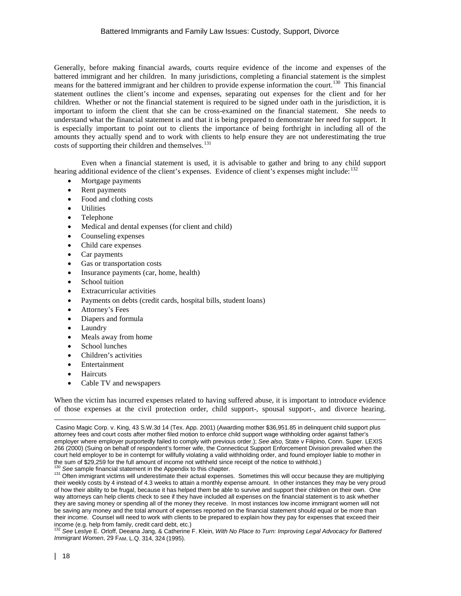Generally, before making financial awards, courts require evidence of the income and expenses of the battered immigrant and her children. In many jurisdictions, completing a financial statement is the simplest means for the battered immigrant and her children to provide expense information the court.<sup>[130](#page-17-0)</sup> This financial statement outlines the client's income and expenses, separating out expenses for the client and for her children. Whether or not the financial statement is required to be signed under oath in the jurisdiction, it is important to inform the client that she can be cross-examined on the financial statement. She needs to understand what the financial statement is and that it is being prepared to demonstrate her need for support. It is especially important to point out to clients the importance of being forthright in including all of the amounts they actually spend and to work with clients to help ensure they are not underestimating the true costs of supporting their children and themselves.<sup>[131](#page-17-1)</sup>

Even when a financial statement is used, it is advisable to gather and bring to any child support hearing additional evidence of the client's expenses. Evidence of client's expenses might include:  $132$ 

- Mortgage payments
- Rent payments
- Food and clothing costs
- **Utilities**
- Telephone
- Medical and dental expenses (for client and child)
- Counseling expenses
- Child care expenses
- Car payments
- Gas or transportation costs
- Insurance payments (car, home, health)
- School tuition
- **Extracurricular activities**
- Payments on debts (credit cards, hospital bills, student loans)
- Attorney's Fees
- Diapers and formula
- **Laundry**
- Meals away from home
- School lunches
- Children's activities
- Entertainment
- Haircuts
- Cable TV and newspapers

When the victim has incurred expenses related to having suffered abuse, it is important to introduce evidence of those expenses at the civil protection order, child support-, spousal support-, and divorce hearing.

 $\overline{a}$ 

Casino Magic Corp. v. King, 43 S.W.3d 14 (Tex. App. 2001) (Awarding mother \$36,951.85 in delinquent child support plus attorney fees and court costs after mother filed motion to enforce child support wage withholding order against father's employer where employer purportedly failed to comply with previous order.); *See also,* State v Filipino, Conn. Super. LEXIS 266 (2000) (Suing on behalf of respondent's former wife, the Connecticut Support Enforcement Division prevailed when the court held employer to be in contempt for willfully violating a valid withholding order, and found employer liable to mother in<br>the sum of \$29,259 for the full amount of income not withheld since receipt of the notice to w

<span id="page-17-1"></span><span id="page-17-0"></span><sup>&</sup>lt;sup>130</sup> See sample financial statement in the Appendix to this chapter.<br><sup>131</sup> Often immigrant victims will underestimate their actual expenses. Sometimes this will occur because they are multiplying their weekly costs by 4 instead of 4.3 weeks to attain a monthly expense amount. In other instances they may be very proud of how their ability to be frugal, because it has helped them be able to survive and support their children on their own. One way attorneys can help clients check to see if they have included all expenses on the financial statement is to ask whether they are saving money or spending all of the money they receive. In most instances low income immigrant women will not be saving any money and the total amount of expenses reported on the financial statement should equal or be more than their income. Counsel will need to work with clients to be prepared to explain how they pay for expenses that exceed their income (e.g. help from family, credit card debt, etc.)<br><sup>132</sup> See Leslye E. Orloff, Deeana Jang, & Catherine F. Klein, *With No Place to Turn: Improving Legal Advocacy for Battered* 

<span id="page-17-2"></span>*Immigrant Women*, 29 FAM. L.Q. 314, 324 (1995).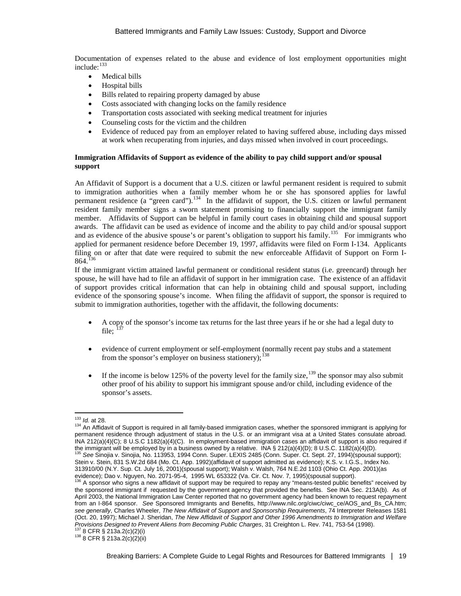Documentation of expenses related to the abuse and evidence of lost employment opportunities might include: [133](#page-18-0)

- Medical bills
- Hospital bills
- Bills related to repairing property damaged by abuse
- Costs associated with changing locks on the family residence
- Transportation costs associated with seeking medical treatment for injuries
- Counseling costs for the victim and the children
- Evidence of reduced pay from an employer related to having suffered abuse, including days missed at work when recuperating from injuries, and days missed when involved in court proceedings.

## **Immigration Affidavits of Support as evidence of the ability to pay child support and/or spousal support**

An Affidavit of Support is a document that a U.S. citizen or lawful permanent resident is required to submit to immigration authorities when a family member whom he or she has sponsored applies for lawful permanent residence (a "green card").<sup>134</sup> In the affidavit of support, the U.S. citizen or lawful permanent resident family member signs a sworn statement promising to financially support the immigrant family member. Affidavits of Support can be helpful in family court cases in obtaining child and spousal support awards. The affidavit can be used as evidence of income and the ability to pay child and/or spousal support and as evidence of the abusive spouse's or parent's obligation to support his family.<sup>[135](#page-18-2)</sup> For immigrants who applied for permanent residence before December 19, 1997, affidavits were filed on Form I-134. Applicants filing on or after that date were required to submit the new enforceable Affidavit of Support on Form I- $864.136$  $864.136$ 

If the immigrant victim attained lawful permanent or conditional resident status (i.e. greencard) through her spouse, he will have had to file an affidavit of support in her immigration case. The existence of an affidavit of support provides critical information that can help in obtaining child and spousal support, including evidence of the sponsoring spouse's income. When filing the affidavit of support, the sponsor is required to submit to immigration authorities, together with the affidavit, the following documents:

- A copy of the sponsor's income tax returns for the last three years if he or she had a legal duty to file:  $^{13}$
- evidence of current employment or self-employment (normally recent pay stubs and a statement from the sponsor's employer on business stationery); $^{138}$  $^{138}$  $^{138}$
- If the income is below 125% of the poverty level for the family size,  $^{139}$  $^{139}$  $^{139}$  the sponsor may also submit other proof of his ability to support his immigrant spouse and/or child, including evidence of the sponsor's assets.

<span id="page-18-6"></span><span id="page-18-1"></span><span id="page-18-0"></span><sup>&</sup>lt;sup>133</sup> Id. at 28.<br><sup>134</sup> An Affidavit of Support is required in all family-based immigration cases, whether the sponsored immigrant is applying for permanent residence through adjustment of status in the U.S. or an immigrant visa at a United States consulate abroad. INA 212(a)(4)(C); 8 U.S.C 1182(a)(4)(C). In employment-based immigration cases an affidavit of support is also required if the immigrant will be employed by in a business owned by a relative. INA § 212(a)(4)(D); 8 U.S.C. 1182(a)(4)(D).

<span id="page-18-2"></span><sup>135</sup> *See* Sinojia v. Sinojia, No. 113953, 1994 Conn. Super. LEXIS 2485 (Conn. Super. Ct. Sept. 27, 1994)(spousal support); Stein v. Stein, 831 S.W.2d 684 (Mo. Ct. App. 1992)(affidavit of support admitted as evidence); K.S. v. I.G.S., Index No. 313910/00 (N.Y. Sup. Ct. July 16, 2001)(spousal support); Walsh v. Walsh, 764 N.E.2d 1103 (Ohio Ct. App. 2001)(as

<span id="page-18-3"></span>evidence); Dao v. Nguyen, No. 2071-95-4, 1995 WL 653322 (Va. Cir. Ct. Nov. 7, 1995)(spousal support).<br><sup>136</sup> A sponsor who signs a new affidavit of support may be required to repay any "means-tested public benefits" receive the sponsored immigrant if requested by the government agency that provided the benefits. See INA Sec. 213A(b). As of April 2003, the National Immigration Law Center reported that no government agency had been known to request repayment from an I-864 sponsor. *See* Sponsored Immigrants and Benefits, [http://www.nilc.org/ciwc/ciwc\\_ce/AOS\\_and\\_Bs\\_CA.htm;](http://www.nilc.org/ciwc/ciwc_ce/AOS_and_Bs_CA.htm)  *see generally*, Charles Wheeler, *The New Affidavit of Support and Sponsorship Requirements*, 74 Interpreter Releases 1581 (Oct. 20, 1997); Michael J. Sheridan, *The New Affidavit of Support and Other 1996 Amendments to Immigration and Welfare Provisions Designed to Prevent Aliens from Becoming Public Charges*, 31 Creighton L. Rev. 741, 753-54 (1998).<br><sup>137</sup> 8 CFR § 213a.2(c)(2)(i)<br><sup>138</sup> 8 CFR § 213a.2(c)(2)(ii)

<span id="page-18-5"></span><span id="page-18-4"></span>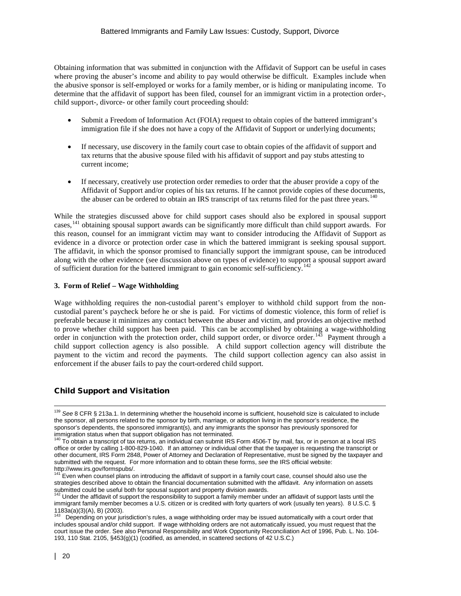Obtaining information that was submitted in conjunction with the Affidavit of Support can be useful in cases where proving the abuser's income and ability to pay would otherwise be difficult. Examples include when the abusive sponsor is self-employed or works for a family member, or is hiding or manipulating income. To determine that the affidavit of support has been filed, counsel for an immigrant victim in a protection order-, child support-, divorce- or other family court proceeding should:

- Submit a Freedom of Information Act (FOIA) request to obtain copies of the battered immigrant's immigration file if she does not have a copy of the Affidavit of Support or underlying documents;
- If necessary, use discovery in the family court case to obtain copies of the affidavit of support and tax returns that the abusive spouse filed with his affidavit of support and pay stubs attesting to current income;
- If necessary, creatively use protection order remedies to order that the abuser provide a copy of the Affidavit of Support and/or copies of his tax returns. If he cannot provide copies of these documents, the abuser can be ordered to obtain an IRS transcript of tax returns filed for the past three vears.<sup>[140](#page-19-0)</sup>

While the strategies discussed above for child support cases should also be explored in spousal support cases,<sup>[141](#page-19-1)</sup> obtaining spousal support awards can be significantly more difficult than child support awards. For this reason, counsel for an immigrant victim may want to consider introducing the Affidavit of Support as evidence in a divorce or protection order case in which the battered immigrant is seeking spousal support. The affidavit, in which the sponsor promised to financially support the immigrant spouse, can be introduced along with the other evidence (see discussion above on types of evidence) to support a spousal support award of sufficient duration for the battered immigrant to gain economic self-sufficiency.<sup>[142](#page-19-2)</sup>

## **3. Form of Relief – Wage Withholding**

Wage withholding requires the non-custodial parent's employer to withhold child support from the noncustodial parent's paycheck before he or she is paid. For victims of domestic violence, this form of relief is preferable because it minimizes any contact between the abuser and victim, and provides an objective method to prove whether child support has been paid. This can be accomplished by obtaining a wage-withholding order in conjunction with the protection order, child support order, or divorce order.<sup>143</sup> Payment through a child support collection agency is also possible. A child support collection agency will distribute the payment to the victim and record the payments. The child support collection agency can also assist in enforcement if the abuser fails to pay the court-ordered child support.

## Child Support and Visitation

<sup>139</sup> *See* 8 CFR § 213a.1. In determining whether the household income is sufficient, household size is calculated to include the sponsor, all persons related to the sponsor by birth, marriage, or adoption living in the sponsor's residence, the sponsor's dependents, the sponsored immigrant(s), and any immigrants the sponsor has previously sponsored for immigration status when that support obligation has not terminated.<br><sup>140</sup> To obtain a transactor of terminated and terminated.

<span id="page-19-0"></span><sup>140</sup> To obtain a transcript of tax returns, an individual can submit IRS Form 4506-T by mail, fax, or in person at a local IRS office or order by calling 1-800-829-1040. If an attorney or individual other that the taxpayer is requesting the transcript or other document, IRS Form 2848, Power of Attorney and Declaration of Representative, must be signed by the taxpayer and submitted with the request. For more information and to obtain these forms, *see* the IRS official website: http://www.irs.gov/formspubs/.

<span id="page-19-1"></span><sup>141</sup> Even when counsel plans on introducing the affidavit of support in a family court case, counsel should also use the strategies described above to obtain the financial documentation submitted with the affidavit. Any information on assets submitted could be useful both for spousal support and property division awards.<br><sup>142</sup> Under the affidavit of support the responsibility to support a family member under an affidavit of support lasts until the

<span id="page-19-2"></span>immigrant family member becomes a U.S. citizen or is credited with forty quarters of work (usually ten years). 8 U.S.C. § 1183a(a)(3)(A), B) (2003).

<span id="page-19-3"></span><sup>143</sup> Depending on your jurisdiction's rules, a wage withholding order may be issued automatically with a court order that includes spousal and/or child support. If wage withholding orders are not automatically issued, you must request that the court issue the order. See also Personal Responsibility and Work Opportunity Reconciliation Act of 1996, Pub. L. No. 104- 193, 110 Stat. 2105, §453(g)(1) (codified, as amended, in scattered sections of 42 U.S.C.)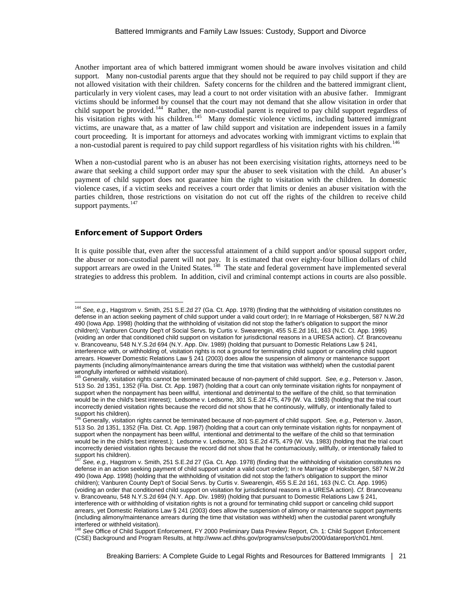Another important area of which battered immigrant women should be aware involves visitation and child support. Many non-custodial parents argue that they should not be required to pay child support if they are not allowed visitation with their children. Safety concerns for the children and the battered immigrant client, particularly in very violent cases, may lead a court to not order visitation with an abusive father. Immigrant victims should be informed by counsel that the court may not demand that she allow visitation in order that child support be provided.<sup>144</sup> Rather, the non-custodial parent is required to pay child support regardless of his visitation rights with his children.<sup>145</sup> Many domestic violence victims, including battered immigrant victims, are unaware that, as a matter of law child support and visitation are independent issues in a family court proceeding. It is important for attorneys and advocates working with immigrant victims to explain that a non-custodial parent is required to pay child support regardless of his visitation rights with his children.<sup>[146](#page-20-2)</sup>

When a non-custodial parent who is an abuser has not been exercising visitation rights, attorneys need to be aware that seeking a child support order may spur the abuser to seek visitation with the child. An abuser's payment of child support does not guarantee him the right to visitation with the children. In domestic violence cases, if a victim seeks and receives a court order that limits or denies an abuser visitation with the parties children, those restrictions on visitation do not cut off the rights of the children to receive child support payments.<sup>147</sup>

## Enforcement of Support Orders

It is quite possible that, even after the successful attainment of a child support and/or spousal support order, the abuser or non-custodial parent will not pay. It is estimated that over eighty-four billion dollars of child support arrears are owed in the United States.<sup>148</sup> The state and federal government have implemented several strategies to address this problem. In addition, civil and criminal contempt actions in courts are also possible.

<span id="page-20-0"></span><sup>144</sup> *See, e.g.,* Hagstrom v. Smith, 251 S.E.2d 27 (Ga. Ct. App. 1978) (finding that the withholding of visitation constitutes no defense in an action seeking payment of child support under a valid court order); In re Marriage of Hoksbergen, 587 N.W.2d 490 (Iowa App. 1998) (holding that the withholding of visitation did not stop the father's obligation to support the minor children); Vanburen County Dep't of Social Servs. by Curtis v. Swearengin, 455 S.E.2d 161, 163 (N.C. Ct. App. 1995) (voiding an order that conditioned child support on visitation for jurisdictional reasons in a URESA action). *Cf.* Brancoveanu v. Brancoveanu, 548 N.Y.S.2d 694 (N.Y. App. Div. 1989) (holding that pursuant to Domestic Relations Law § 241, interference with, or withholding of, visitation rights is not a ground for terminating child support or canceling child support arrears. However Domestic Relations Law § 241 (2003) does allow the suspension of alimony or maintenance support payments (including alimony/maintenance arrears during the time that visitation was withheld) when the custodial parent

<span id="page-20-1"></span>wrongfully interfered or withheld visitation).<br><sup>145</sup> Generally, visitation rights cannot be terminated because of non-payment of child support. *See, e.g.,* Peterson v. Jason, 513 So. 2d 1351, 1352 (Fla. Dist. Ct. App. 1987) (holding that a court can only terminate visitation rights for nonpayment of support when the nonpayment has been willful, intentional and detrimental to the welfare of the child, so that termination would be in the child's best interest); Ledsome v. Ledsome, 301 S.E.2d 475, 479 (W. Va. 1983) (holding that the trial court incorrectly denied visitation rights because the record did not show that he continously, willfully, or intentionally failed to support his children).

<span id="page-20-2"></span><sup>146</sup> Generally, visitation rights cannot be terminated because of non-payment of child support. *See, e.g.,* Peterson v. Jason, 513 So. 2d 1351, 1352 (Fla. Dist. Ct. App. 1987) (holding that a court can only terminate visitation rights for nonpayment of support when the nonpayment has been willful, intentional and detrimental to the welfare of the child so that termination would be in the child's best interest.); Ledsome v. Ledsome, 301 S.E.2d 475, 479 (W. Va. 1983) (holding that the trial court incorrectly denied visitation rights because the record did not show that he contumaciously, willfully, or intentionally failed to support his children).

<span id="page-20-3"></span>See, e.g., Hagstrom v. Smith, 251 S.E.2d 27 (Ga. Ct. App. 1978) (finding that the withholding of visitation constitutes no defense in an action seeking payment of child support under a valid court order); In re Marriage of Hoksbergen, 587 N.W.2d 490 (Iowa App. 1998) (holding that the withholding of visitation did not stop the father's obligation to support the minor children); Vanburen County Dep't of Social Servs. by Curtis v. Swearengin, 455 S.E.2d 161, 163 (N.C. Ct. App. 1995) (voiding an order that conditioned child support on visitation for jurisdictional reasons in a URESA action). *Cf.* Brancoveanu v. Brancoveanu, 548 N.Y.S.2d 694 (N.Y. App. Div. 1989) (holding that pursuant to Domestic Relations Law § 241, interference with or withholding of visitation rights is not a ground for terminating child support or canceling child support arrears, yet Domestic Relations Law § 241 (2003) does allow the suspension of alimony or maintenance support payments (including alimony/maintenance arrears during the time that visitation was withheld) when the custodial parent wrongfully interfered or withheld visitation).

<span id="page-20-4"></span><sup>148</sup> *See* Office of Child Support Enforcement, FY 2000 Preliminary Data Preview Report, Ch. 1: Child Support Enforcement (CSE) Background and Program Results, at [http://www.acf.dhhs.gov/programs/cse/pubs/2000/datareport/ch01.html.](http://www.acf.dhhs.gov/programs/cse/pubs/2000/datareport/ch01.html)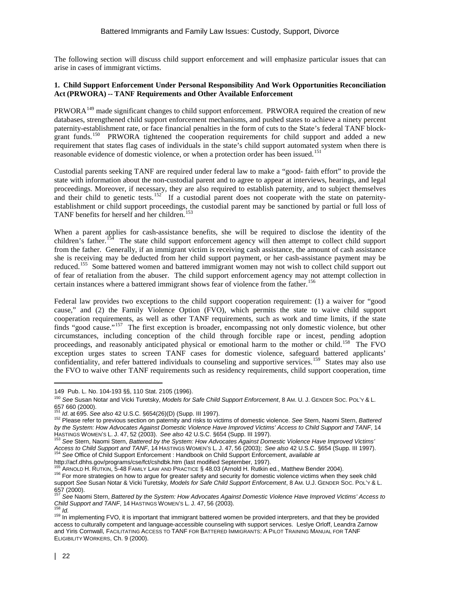The following section will discuss child support enforcement and will emphasize particular issues that can arise in cases of immigrant victims.

## **1. Child Support Enforcement Under Personal Responsibility And Work Opportunities Reconciliation Act (PRWORA) -- TANF Requirements and Other Available Enforcement**

 $PRWORA<sup>149</sup>$  $PRWORA<sup>149</sup>$  $PRWORA<sup>149</sup>$  made significant changes to child support enforcement. PRWORA required the creation of new databases, strengthened child support enforcement mechanisms, and pushed states to achieve a ninety percent paternity-establishment rate, or face financial penalties in the form of cuts to the State's federal TANF blockgrant funds.<sup>150</sup> PRWORA tightened the cooperation requirements for child support and added a new requirement that states flag cases of individuals in the state's child support automated system when there is reasonable evidence of domestic violence, or when a protection order has been issued.<sup>[151](#page-21-2)</sup>

Custodial parents seeking TANF are required under federal law to make a "good- faith effort" to provide the state with information about the non-custodial parent and to agree to appear at interviews, hearings, and legal proceedings. Moreover, if necessary, they are also required to establish paternity, and to subject themselves and their child to genetic tests.<sup>152</sup> If a custodial parent does not cooperate with the state on paternityestablishment or child support proceedings, the custodial parent may be sanctioned by partial or full loss of TANF benefits for herself and her children.<sup>[153](#page-21-4)</sup>

When a parent applies for cash-assistance benefits, she will be required to disclose the identity of the children's father.<sup>154</sup> The state child support enforcement agency will then attempt to collect child support from the father. Generally, if an immigrant victim is receiving cash assistance, the amount of cash assistance she is receiving may be deducted from her child support payment, or her cash-assistance payment may be reduced.[155](#page-21-6) Some battered women and battered immigrant women may not wish to collect child support out of fear of retaliation from the abuser. The child support enforcement agency may not attempt collection in certain instances where a battered immigrant shows fear of violence from the father.<sup>[156](#page-21-7)</sup>

Federal law provides two exceptions to the child support cooperation requirement: (1) a waiver for "good cause," and (2) the Family Violence Option (FVO), which permits the state to waive child support cooperation requirements, as well as other TANF requirements, such as work and time limits, if the state finds "good cause."<sup>157</sup> The first exception is broader, encompassing not only domestic violence, but other circumstances, including conception of the child through forcible rape or incest, pending adoption proceedings, and reasonably anticipated physical or emotional harm to the mother or child.<sup>158</sup> The FVO exception urges states to screen TANF cases for domestic violence, safeguard battered applicants' confidentiality, and refer battered individuals to counseling and supportive services.<sup>159</sup> States may also use the FVO to waive other TANF requirements such as residency requirements, child support cooperation, time

 $\overline{a}$ 

<span id="page-21-0"></span><sup>149</sup> Pub. L. No. 104-193 §§, 110 Stat. 2105 (1996).

<span id="page-21-1"></span><sup>150</sup> *See* Susan Notar and Vicki Turetsky, *Models for Safe Child Support Enforcement*, 8 AM. U. J. GENDER SOC. POL'Y & L. 657 660 (2000).<br><sup>151</sup> Id. at 695. See also 42 U.S.C. §654(26)(D) (Supp. III 1997).

<span id="page-21-3"></span><span id="page-21-2"></span><sup>151</sup> *Id*. at 695. *See also* 42 U.S.C. §654(26)(D) (Supp. III 1997). <sup>152</sup> Please refer to previous section on paternity and risks to victims of domestic violence. *See* Stern, Naomi Stern, *Battered by the System: How Advocates Against Domestic Violence Have Improved Victims' Access to Child Support and TANF*, 14 HASTINGS WOMEN'S L. J. 47, 52 (2003). *See also 42 U.S.C. §654 (Supp. III 1997).*<br><sup>153</sup> See Stern, Naomi Stern, *Battered by the System: How Advocates Against Domestic Violence Have Improved Victims'*<br><sup>153</sup> See Stern, Naom

<span id="page-21-4"></span>Access to Child Support and TANF, 14 HASTINGS WOMEN'S L. J. 47, 56 (2003); See also 42 U.S.C. §654 (Supp. III 1997).<br>
<sup>154</sup> See Office of Child Support and TANF, 14 HASTINGS WOMEN'S L. J. 47, 56 (2003); See also 42 U.S.C.

<span id="page-21-7"></span><span id="page-21-6"></span><span id="page-21-5"></span><sup>&</sup>lt;sup>156</sup> ARNOLD H. RUTKIN, 5-48 FAMILY LAW AND PRACTICE § 48.03 (Arnold H. Rutkin ed., Matthew Bender 2004).<br><sup>156</sup> For more strategies on how to argue for greater safety and security for domestic violence victims when they se support *See* Susan Notar & Vicki Turetsky*, Models for Safe Child Support Enforcement*, 8 AM. U.J. GENDER SOC. POL'Y & L. 657 (2000).

<span id="page-21-8"></span><sup>&</sup>lt;sup>157</sup> See Naomi Stern, *Battered by the System: How Advocates Against Domestic Violence Have Improved Victims' Access to*<br>Child Support and TANF, 14 HASTINGS WOMEN'S L. J. 47, 56 (2003).

<span id="page-21-10"></span><span id="page-21-9"></span><sup>&</sup>lt;sup>158</sup> Id.<br><sup>159</sup> In implementing FVO, it is important that immigrant battered women be provided interpreters, and that they be provided access to culturally competent and language-accessible counseling with support services. Leslye Orloff, Leandra Zarnow and Yiris Cornwall, FACILITATING ACCESS TO TANF FOR BATTERED IMMIGRANTS: A PILOT TRAINING MANUAL FOR TANF ELIGIBILITY WORKERS, Ch. 9 (2000).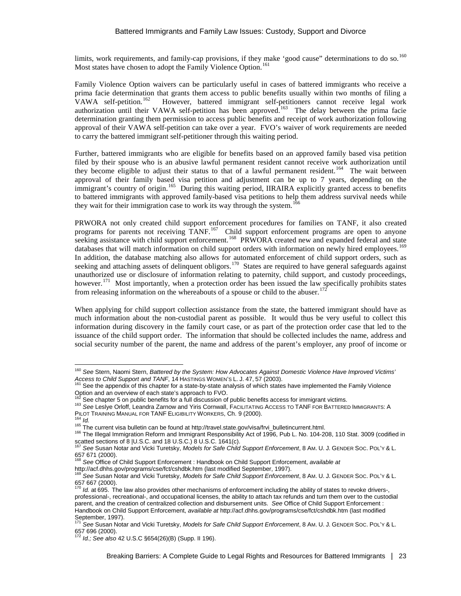limits, work requirements, and family-cap provisions, if they make 'good cause" determinations to do so.<sup>[160](#page-22-0)</sup> Most states have chosen to adopt the Family Violence Option.<sup>[161](#page-22-1)</sup>

Family Violence Option waivers can be particularly useful in cases of battered immigrants who receive a prima facie determination that grants them access to public benefits usually within two months of filing a VAWA self-petition.<sup>162</sup> However, battered immigrant self-petitioners cannot receive legal work However, battered immigrant self-petitioners cannot receive legal work authorization until their VAWA self-petition has been approved.<sup>[163](#page-22-3)</sup> The delay between the prima facie determination granting them permission to access public benefits and receipt of work authorization following approval of their VAWA self-petition can take over a year. FVO's waiver of work requirements are needed to carry the battered immigrant self-petitioner through this waiting period.

Further, battered immigrants who are eligible for benefits based on an approved family based visa petition filed by their spouse who is an abusive lawful permanent resident cannot receive work authorization until they become eligible to adjust their status to that of a lawful permanent resident.<sup>[164](#page-22-4)</sup> The wait between approval of their family based visa petition and adjustment can be up to 7 years, depending on the immigrant's country of origin.<sup>[165](#page-22-5)</sup> During this waiting period, IIRAIRA explicitly granted access to benefits to battered immigrants with approved family-based visa petitions to help them address survival needs while they wait for their immigration case to work its way through the system.<sup>166</sup>

PRWORA not only created child support enforcement procedures for families on TANF, it also created programs for parents not receiving TANF.<sup>167</sup> Child support enforcement programs are open to anyone seeking assistance with child support enforcement.<sup>168</sup> PRWORA created new and expanded federal and state databases that will match information on child support orders with information on newly hired employees.<sup>[169](#page-22-9)</sup> In addition, the database matching also allows for automated enforcement of child support orders, such as seeking and attaching assets of delinquent obligors.<sup>170</sup> States are required to have general safeguards against unauthorized use or disclosure of information relating to paternity, child support, and custody proceedings, however.<sup>171</sup> Most importantly, when a protection order has been issued the law specifically prohibits states from releasing information on the whereabouts of a spouse or child to the abuser.<sup>17</sup>

When applying for child support collection assistance from the state, the battered immigrant should have as much information about the non-custodial parent as possible. It would thus be very useful to collect this information during discovery in the family court case, or as part of the protection order case that led to the issuance of the child support order. The information that should be collected includes the name, address and social security number of the parent, the name and address of the parent's employer, any proof of income or

- <span id="page-22-3"></span><span id="page-22-2"></span>163 See Leslye Orloff, Leandra Zarnow and Yiris Cornwall, FACILITATING ACCESS TO TANF FOR BATTERED IMMIGRANTS: A<br>PILOT TRAINING MANUAL FOR TANF ELIGIBILITY WORKERS, Ch. 9 (2000).
- 

<span id="page-22-0"></span><sup>&</sup>lt;sup>160</sup> See Stern, Naomi Stern, *Battered by the System: How Advocates Against Domestic Violence Have Improved Victims'*<br>Access to Child Support and TANF, 14 HASTINGS WOMEN'S L. J. 47, 57 (2003).

<span id="page-22-1"></span>See the appendix of this chapter for a state-by-state analysis of which states have implemented the Family Violence Option and an overview of each state's approach to FVO.<br><sup>162</sup> See chapter 5 on public benefits for a full discussion of public benefits access for immigrant victims.

<span id="page-22-6"></span><span id="page-22-5"></span><span id="page-22-4"></span>

PILOT TRAINING MANUAL FOR TANF ELIGIBILITY WORKERS, Ch. 9 (2000). <sup>164</sup> *Id.* <sup>165</sup> The current visa bulletin can be found a[t http://travel.state.gov/visa/frvi\\_bulletincurrent.html.](http://travel.state.gov/visa/frvi_bulletincurrent.html) 166 The Illegal Immigration Reform and Immigrant Responsibility Act of 1996, Pub L. No. 104-208, 110 Stat. 3009 (codified in

<span id="page-22-7"></span>scatted sections of 8 |U.S.C. and 18 U.S.C.) 8 U.S.C. 1641(c). <sup>167</sup> *See* Susan Notar and Vicki Turetsky, *Models for Safe Child Support Enforcement*, 8 AM. U. J. GENDER SOC. POL'Y & L. 657 671 (2000).<br><sup>168</sup> See Office of Child Support Enforcement : Handbook on Child Support Enforcement, *available at*<br>http://acf.dhhs.gov/programs/cse/fct/cshdbk.htm (last modified September, 1997).

<span id="page-22-8"></span>

<span id="page-22-9"></span>ntes See Susan Notar and Vicki Turetsky, *Models for Safe Child Support Enforcement*, 8 AM. U. J. GENDER SOC. POL'Y & L. 657 667 (2000).

<span id="page-22-10"></span>*Id.* at 695. The law also provides other mechanisms of enforcement including the ability of states to revoke drivers-, professional-, recreational-, and occupational licenses, the ability to attach tax refunds and turn them over to the custodial parent, and the creation of centralized collection and disbursement units. *See* Office of Child Support Enforcement : Handbook on Child Support Enforcement, *available at* <http://acf.dhhs.gov/programs/cse/fct/cshdbk.htm> (last modified

<span id="page-22-11"></span>See Susan Notar and Vicki Turetsky, *Models for Safe Child Support Enforcement*, 8 AM. U. J. GENDER Soc. PoL'Y & L.

<span id="page-22-12"></span><sup>657 696 (2000).</sup> <sup>172</sup> *Id.; See also* 42 U.S.C §654(26)(B) (Supp. II 196).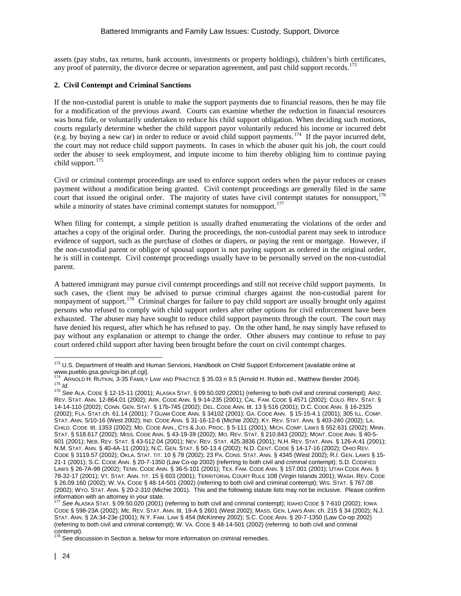assets (pay stubs, tax returns, bank accounts, investments or property holdings), children's birth certificates, any proof of paternity, the divorce decree or separation agreement, and past child support records.<sup>[173](#page-23-0)</sup>

## **2. Civil Contempt and Criminal Sanctions**

If the non-custodial parent is unable to make the support payments due to financial reasons, then he may file for a modification of the previous award. Courts can examine whether the reduction in financial resources was bona fide, or voluntarily undertaken to reduce his child support obligation. When deciding such motions, courts regularly determine whether the child support payor voluntarily reduced his income or incurred debt (e.g. by buying a new car) in order to reduce or avoid child support payments.[174](#page-23-1) If the payor incurred debt, the court may not reduce child support payments. In cases in which the abuser quit his job, the court could order the abuser to seek employment, and impute income to him thereby obliging him to continue paying child support.<sup>[175](#page-23-2)</sup>

Civil or criminal contempt proceedings are used to enforce support orders when the payor reduces or ceases payment without a modification being granted. Civil contempt proceedings are generally filed in the same court that issued the original order. The majority of states have civil contempt statutes for nonsupport,<sup>[176](#page-23-3)</sup> while a minority of states have criminal contempt statutes for nonsupport.<sup>[177](#page-23-4)</sup>

When filing for contempt, a simple petition is usually drafted enumerating the violations of the order and attaches a copy of the original order. During the proceedings, the non-custodial parent may seek to introduce evidence of support, such as the purchase of clothes or diapers, or paying the rent or mortgage. However, if the non-custodial parent or obligor of spousal support is not paying support as ordered in the original order, he is still in contempt. Civil contempt proceedings usually have to be personally served on the non-custodial parent.

A battered immigrant may pursue civil contempt proceedings and still not receive child support payments. In such cases, the client may be advised to pursue criminal charges against the non-custodial parent for nonpayment of support.[178](#page-23-5) Criminal charges for failure to pay child support are usually brought only against persons who refused to comply with child support orders after other options for civil enforcement have been exhausted. The abuser may have sought to reduce child support payments through the court. The court may have denied his request, after which he has refused to pay. On the other hand, he may simply have refused to pay without any explanation or attempt to change the order. Other abusers may continue to refuse to pay court ordered child support after having been brought before the court on civil contempt charges.

<span id="page-23-0"></span><sup>&</sup>lt;sup>173</sup> U.S. Department of Health and Human Services, Handbook on Child Support Enforcement [available online at<br>www.pueblo.gsa.gov/cgi-bin.pf.cgi].

<span id="page-23-1"></span><sup>&</sup>lt;sup>[174](http://www.pueblo.gsa.gov/cgi-bin.pf.cgi)</sup> ARNOLD H. RUTKIN, 3-35 FAMILY LAW AND PRACTICE § 35.03 n 9.5 (Arnold H. Rutkin ed., Matthew Bender 2004).<br><sup>175</sup> *Id.*<br><sup>176</sup> See ALA. CODE § 12-15-11 (2001); ALASKA STAT. § 09.50.020 (2001) (referring to both civil a

<span id="page-23-3"></span><span id="page-23-2"></span>REV. STAT. ANN. 12-864.01 (2002); ARK. CODE ANN. § 9-14-235 (2001); CAL. FAM. CODE § 4571 (2002); COLO. REV. STAT. § 14-14-110 (2002); CONN. GEN. STAT. § 17b-745 (2002); DEL. CODE ANN. tit. 13 § 516 (2001); D.C. CODE ANN. § 16-2325 (2002); FLA. STAT.ch. 61.14 (2001); 7 GUAM CODE ANN. § 34102 (2001); GA. CODE ANN. § 15-15-4.1 (2001); 305 ILL. COMP. STAT. ANN. 5/10-16 (West 2002); IND. CODE ANN. § 31-16-12-6 (Michie 2002); KY. REV. STAT. ANN. § 403-240 (2002); LA. CHILD. CODE tit. 1353 (2002); MD. CODE ANN., CTS & JUD. PROC. § 5-111 (2001); MICH. COMP. LAWS § 552.631 (2002); MINN. STAT. § 518.617 (2002); MISS. CODE ANN. § 43-19-39 (2002); MO. REV. STAT. § 210.843 (2002); MONT. CODE ANN. § 40-5- 601 (2001); NEB. REV. STAT. § 43-512.04 (2001); NEV. REV. STAT. 425.3836 (2001); N.H. REV. STAT. ANN. § 126-A:41 (2001); N.M. STAT. ANN. § 40-4A-11 (2001); N.C. GEN. STAT. § 50-13.4 (2002); N.D. CENT. CODE § 14-17-16 (2002); OHIO REV. CODE § 3119.57 (2002); OKLA. STAT. TIT. 10 § 78 (2002); 23 PA. CONS. STAT. ANN. § 4345 (West 2002); R.I. GEN. LAWS § 15- 21-1 (2001); S.C. CODE ANN. § 20-7-1350 (Law Co-op 2002) (referring to both civil and criminal contempt); S.D. CODIFIED LAWS § 26-7A-98 (2002); TENN. CODE ANN. § 36-5-101 (2001); TEX. FAM. CODE ANN. § 157.001 (2001); UTAH CODE ANN. § 78-32-17 (2001); VT. STAT. ANN. TIT. 15 § 603 (2001); TERRITORIAL COURT RULE 108 (Virgin Islands 2001); WASH. REV. CODE § 26.09.160 (2002); W. VA. CODE § 48-14-501 (2002) (referring to both civil and criminal contempt); WIS. STAT. § 767.08 (2002); WYO. STAT. ANN. § 20-2-310 (Michie 2001). This and the following statute lists may not be inclusive. Please confirm information with an attorney in your state. <sup>177</sup> *See* ALASKA STAT. § 09.50.020 (2001) (referring to both civil and criminal contempt); IDAHO CODE § 7-610 (2002); IOWA

<span id="page-23-4"></span>CODE § 598-23A (2002); ME. REV. STAT. ANN. tit. 19-A § 2601 (West 2002); MASS. GEN. LAWS ANN. ch. 215 § 34 (2002); N.J. STAT. ANN. § 2A:34-23e (2001); N.Y. FAM. LAW § 454 (McKinney 2002); S.C. CODE ANN. § 20-7-1350 (Law Co-op 2002) (referring to both civil and criminal contempt); W. VA. CODE § 48-14-501 (2002) (referring to both civil and criminal

<span id="page-23-5"></span>contempt).<br><sup>178</sup> See discussion in Section a. below for more information on criminal remedies.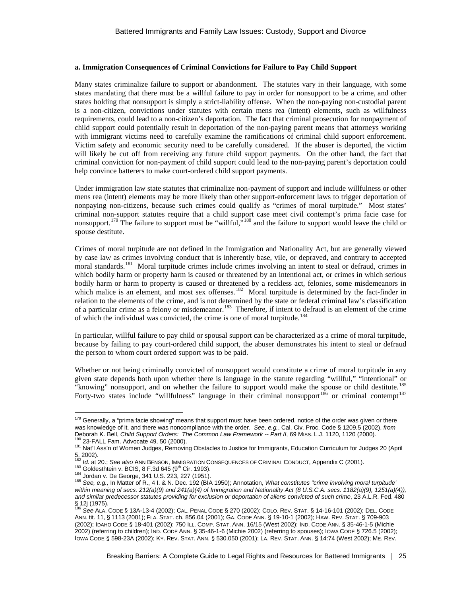#### **a. Immigration Consequences of Criminal Convictions for Failure to Pay Child Support**

Many states criminalize failure to support or abandonment. The statutes vary in their language, with some states mandating that there must be a willful failure to pay in order for nonsupport to be a crime, and other states holding that nonsupport is simply a strict-liability offense. When the non-paying non-custodial parent is a non-citizen, convictions under statutes with certain mens rea (intent) elements, such as willfulness requirements, could lead to a non-citizen's deportation. The fact that criminal prosecution for nonpayment of child support could potentially result in deportation of the non-paying parent means that attorneys working with immigrant victims need to carefully examine the ramifications of criminal child support enforcement. Victim safety and economic security need to be carefully considered. If the abuser is deported, the victim will likely be cut off from receiving any future child support payments. On the other hand, the fact that criminal conviction for non-payment of child support could lead to the non-paying parent's deportation could help convince batterers to make court-ordered child support payments.

Under immigration law state statutes that criminalize non-payment of support and include willfulness or other mens rea (intent) elements may be more likely than other support-enforcement laws to trigger deportation of nonpaying non-citizens, because such crimes could qualify as "crimes of moral turpitude."Most states' criminal non-support statutes require that a child support case meet civil contempt's prima facie case for nonsupport.<sup>[179](#page-24-0)</sup> The failure to support must be "willful,"<sup>[180](#page-24-1)</sup> and the failure to support would leave the child or spouse destitute.

Crimes of moral turpitude are not defined in the Immigration and Nationality Act, but are generally viewed by case law as crimes involving conduct that is inherently base, vile, or depraved, and contrary to accepted moral standards.<sup>[181](#page-24-2)</sup> Moral turpitude crimes include crimes involving an intent to steal or defraud, crimes in which bodily harm or property harm is caused or threatened by an intentional act, or crimes in which serious bodily harm or harm to property is caused or threatened by a reckless act, felonies, some misdemeanors in which malice is an element, and most sex offenses.<sup>[182](#page-24-3)</sup> Moral turpitude is determined by the fact-finder in relation to the elements of the crime, and is not determined by the state or federal criminal law's classification of a particular crime as a felony or misdemeanor.<sup>183</sup> Therefore, if intent to defraud is an element of the crime of which the individual was convicted, the crime is one of moral turpitude.<sup>[184](#page-24-5)</sup>

In particular, willful failure to pay child or spousal support can be characterized as a crime of moral turpitude, because by failing to pay court-ordered child support, the abuser demonstrates his intent to steal or defraud the person to whom court ordered support was to be paid.

<span id="page-24-8"></span>Whether or not being criminally convicted of nonsupport would constitute a crime of moral turpitude in any given state depends both upon whether there is language in the statute regarding "willful," "intentional" or "knowing" nonsupport, and on whether the failure to support would make the spouse or child destitute.<sup>[185](#page-24-6)</sup> Forty-two states include "willfulness" language in their criminal nonsupport<sup>[186](#page-24-7)</sup> or criminal contempt<sup>[187](#page-24-8)</sup>

<span id="page-24-0"></span><sup>&</sup>lt;sup>179</sup> Generally, a "prima facie showing" means that support must have been ordered, notice of the order was given or there was knowledge of it, and there was noncompliance with the order. *See*, *e.g.*, Cal. Civ. Proc. Code § 1209.5 (2002), *from*<br>Deborah K. Bell, *Child Support Orders: The Common Law Framework -- Part II*, 69 Miss. L.J. 1120,

<span id="page-24-2"></span><span id="page-24-1"></span><sup>&</sup>lt;sup>180</sup> 23-FALL Fam. Advocate 49, 50 (2000).<br><sup>181</sup> Nat'l Ass'n of Women Judges, Removing Obstacles to Justice for Immigrants, Education Curriculum for Judges 20 (April 5, 2002).<br><sup>182</sup> Id. at 20.; See also Ann Benson, Immigration Consequences of Criminal Conduct, Appendix C (2001).

<span id="page-24-6"></span>

<span id="page-24-5"></span><span id="page-24-4"></span><span id="page-24-3"></span><sup>185</sup> Goldesthtein v. BCIS, 8 F.3d 645 (9<sup>th</sup> Cir. 1993).<br><sup>183</sup> Goldesthtein v. BCIS, 8 F.3d 645 (9<sup>th</sup> Cir. 1993).<br><sup>184</sup> Jordan v. De George, 341 U.S. 223, 227 (1951).<br><sup>185</sup> See, e.g., In Matter of R., 4 I. & N. Dec. 192 (B *within meaning of secs. 212(a)(9) and 241(a)(4) of Immigration and Nationality Act (8 U.S.C.A. secs. 1182(a)(9), 1251(a)(4)), and similar predecessor statutes providing for exclusion or deportation of aliens convicted of such crime*, 23 A.L.R. Fed. 480  $\S$  12j (1975).

<span id="page-24-7"></span><sup>186</sup> *See* ALA. CODE § 13A-13-4 (2002); CAL. PENAL CODE § 270 (2002); COLO. REV. STAT. § 14-16-101 (2002); DEL. CODE ANN. tit. 11, § 1113 (2001); FLA. STAT. ch. 856.04 (2001); GA. CODE ANN. § 19-10-1 (2002); HAW. REV. STAT. § 709-903 (2002); IDAHO CODE § 18-401 (2002); 750 ILL. COMP. STAT. ANN. 16/15 (West 2002); IND. CODE ANN. § 35-46-1-5 (Michie 2002) (referring to children); IND. CODE ANN. § 35-46-1-6 (Michie 2002) (referring to spouses); IOWA CODE § 726.5 (2002); IOWA CODE § 598-23A (2002); KY. REV. STAT. ANN. § 530.050 (2001); LA. REV. STAT. ANN. § 14:74 (West 2002); ME. REV.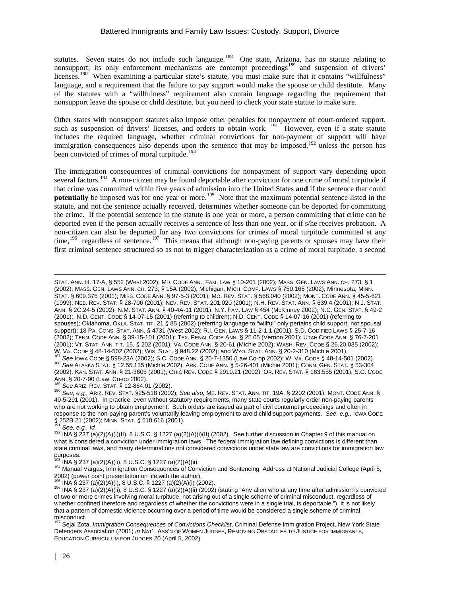statutes. Seven states do not include such language.<sup>[188](#page-25-0)</sup> One state, Arizona, has no statute relating to nonsupport; its only enforcement mechanisms are contempt proceedings<sup>[189](#page-25-1)</sup> and suspension of drivers' licenses.<sup>[190](#page-25-2)</sup> When examining a particular state's statute, you must make sure that it contains "willfulness" language, and a requirement that the failure to pay support would make the spouse or child destitute. Many of the statutes with a "willfulness" requirement also contain language regarding the requirement that nonsupport leave the spouse or child destitute, but you need to check your state statute to make sure.

Other states with nonsupport statutes also impose other penalties for nonpayment of court-ordered support, such as suspension of drivers' licenses, and orders to obtain work. <sup>[191](#page-25-3)</sup> However, even if a state statute includes the required language, whether criminal convictions for non-payment of support will have immigration consequences also depends upon the sentence that may be imposed,  $192$  unless the person has been convicted of crimes of moral turpitude.<sup>[193](#page-25-5)</sup>

The immigration consequences of criminal convictions for nonpayment of support vary depending upon several factors.<sup>194</sup> A non-citizen may be found deportable after conviction for one crime of moral turpitude if that crime was committed within five years of admission into the United States **and** if the sentence that could **potentially** be imposed was for one year or more.<sup>195</sup> Note that the maximum potential sentence listed in the statute, and not the sentence actually received, determines whether someone can be deported for committing the crime. If the potential sentence in the statute is one year or more, a person committing that crime can be deported even if the person actually receives a sentence of less than one year, or if s/he receives probation. A non-citizen can also be deported for any two convictions for crimes of moral turpitude committed at any time,  $196$  regardless of sentence.  $197$  This means that although non-paying parents or spouses may have their first criminal sentence structured so as not to trigger characterization as a crime of moral turpitude, a second

STAT. ANN. tit. 17-A, § 552 (West 2002); MD. CODE ANN., FAM. LAW § 10-201 (2002); MASS. GEN. LAWS ANN. CH. 273, § 1 (2002); MASS. GEN. LAWS ANN. CH. 273, § 15A (2002); Michigan, MICH. COMP. LAWS § 750.165 (2002); Minnesota, MINN. STAT. § 609.375 (2001); MISS. CODE ANN. § 97-5-3 (2001); MO. REV. STAT. § 568.040 (2002); MONT. CODE ANN. § 45-5-621 (1999); NEB. REV. STAT. § 28-706 (2001); NEV. REV. STAT. 201.020 (2001); N.H. REV. STAT. ANN. § 639:4 (2001); N.J. STAT. ANN. § 2C:24-5 (2002); N.M. STAT. ANN. § 40-4A-11 (2001); N.Y. FAM. LAW § 454 (McKinney 2002); N.C. GEN. STAT. § 49-2 (2001);, N.D. CENT. CODE § 14-07-15 (2001) (referring to children); N.D. CENT. CODE § 14-07-16 (2001) (referring to spouses); Oklahoma, OKLA. STAT. TIT. 21 § 85 (2002) (referring language to "willful" only pertains child support, not spousal support); 18 PA. CONS. STAT. ANN. § 4731 (West 2002); R.I. GEN. LAWS § 11-2-1.1 (2001); S.D. CODIFIED LAWS § 25-7-16 (2002); TENN. CODE ANN. § 39-15-101 (2001); TEX. PENAL CODE ANN. § 25.05 (Vernon 2001); UTAH CODE ANN. § 76-7-201 (2001); VT. STAT. ANN. TIT. 15, § 202 (2001); VA. CODE ANN. § 20-61 (Michie 2002); WASH. REV. CODE § 26.20.035 (2002); W. VA. CODE § 48-14-502 (2002); Wis. STAT. § 948.22 (2002); and WYO. STAT. ANN. § 20-2-310 (Michie 2001 <sup>187</sup> See IOWA CODE § 598-23A (2002); S.C. CODE ANN. § 20-7-1350 (Law Co-op 2002); W. VA. CODE § 48-14-501 (2002).<br><sup>188</sup> See ALASKA STAT. § 12.55.135 (Michie 2002); ARK. CODE ANN. § 5-26-401 (Michie 2001); CONN. GEN. STAT. (2002); KAN. STAT. ANN. § 21-3605 (2001); OHIO REV. CODE § 2919.21 (2002); OR. REV. STAT. § 163.555 (2001); S.C. CODE<br>ANN. § 20-7-90 (Law. Co-op 2002).<br><sup>189</sup> See ARIZ. REV. STAT. § 12-864.01 (2002).

<span id="page-25-0"></span>

<span id="page-25-2"></span><span id="page-25-1"></span><sup>190</sup> See, e.g., Ariz. REV. STAT. §25-518 (2002); See also, ME. REV. STAT. ANN. TIT. 19A, § 2202 (2001); MONT. CODE ANN. § 40-5-291 (2001). In practice, even without statutory requirements, many state courts regularly order non-paying parents who are not working to obtain employment. Such orders are issued as part of civil contempt proceedings and often in response to the non-paying parent's voluntarily leaving employment to avoid child support payments. *See, e.g.,* IOWA CODE § 252B.21 (2002); MINN. STAT. § 518.616 (2001).<br><sup>191</sup> See, e.g., *Id.* 

 $\overline{a}$ 

<span id="page-25-4"></span><span id="page-25-3"></span><sup>192</sup> INA § 237 (a)(2)(A)(i)(II), 8 U.S.C. § 1227 (a)(2)(A)(i)(II) (2002). See further discussion in Chapter 9 of this manual on what is considered a conviction under immigration laws. The federal immigration law defining convictions is different than state criminal laws, and many determinations not considered convictions under state law are convictions for immigration law purposes.

<span id="page-25-6"></span><span id="page-25-5"></span><sup>&</sup>lt;sup>193</sup> INA § 237 (a)(2)(A)(ii), 8 U.S.C. § 1227 (a)(2)(A)(ii).<br><sup>194</sup> Manual Vargas, Immigration Consequences of Conviction and Sentencing, Address at National Judicial College (April 5,<br>2002) (power point presentation on f

<span id="page-25-8"></span><span id="page-25-7"></span> $196$  INA § 237 (a)(2)(A)(ii), 8 U.S.C. § 1227 (a)(2)(A)(ii) (2002) (stating "Any alien who at any time after admission is convicted of two or more crimes involving moral turpitude, not arising out of a single scheme of criminal misconduct, regardless of whether confined therefore and regardless of whether the convictions were in a single trial, is deportable.") It is not likely that a pattern of domestic violence occurring over a period of time would be considered a single scheme of criminal

<span id="page-25-9"></span>misconduct. <sup>197</sup> Sejal Zota, *Immigration Consequences of Convictions Checklist*, Criminal Defense Immigration Project, New York State Defenders Association (2001) *in* NAT'L ASS'N OF WOMEN JUDGES, REMOVING OBSTACLES TO JUSTICE FOR IMMIGRANTS, EDUCATION CURRICULUM FOR JUDGES 20 (April 5, 2002).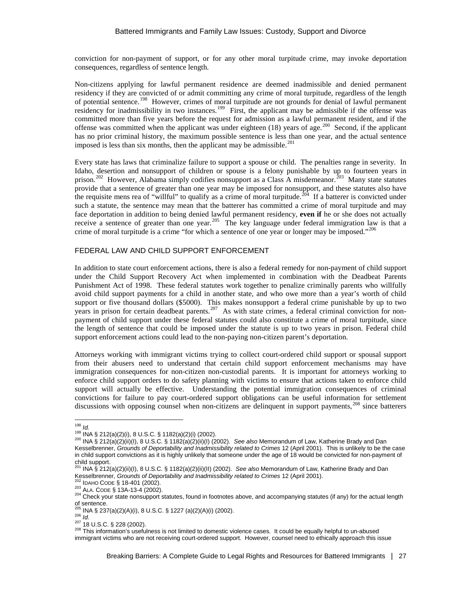conviction for non-payment of support, or for any other moral turpitude crime, may invoke deportation consequences, regardless of sentence length.

Non-citizens applying for lawful permanent residence are deemed inadmissible and denied permanent residency if they are convicted of or admit committing any crime of moral turpitude, regardless of the length of potential sentence.<sup>198</sup> However, crimes of moral turpitude are not grounds for denial of lawful permanent residency for inadmissibility in two instances.<sup>199</sup> First, the applicant may be admissible if the offense was committed more than five years before the request for admission as a lawful permanent resident, and if the offense was committed when the applicant was under eighteen  $(18)$  years of age.<sup>[200](#page-26-2)</sup> Second, if the applicant has no prior criminal history, the maximum possible sentence is less than one year, and the actual sentence imposed is less than six months, then the applicant may be admissible.<sup>201</sup>

Every state has laws that criminalize failure to support a spouse or child. The penalties range in severity. In Idaho, desertion and nonsupport of children or spouse is a felony punishable by up to fourteen years in prison.<sup>[202](#page-26-4)</sup> However, Alabama simply codifies nonsupport as a Class A misdemeanor.<sup>203</sup> Many state statutes provide that a sentence of greater than one year may be imposed for nonsupport, and these statutes also have the requisite mens rea of "willful" to qualify as a crime of moral turpitude.<sup>204</sup> If a batterer is convicted under such a statute, the sentence may mean that the batterer has committed a crime of moral turpitude and may face deportation in addition to being denied lawful permanent residency, **even if** he or she does not actually receive a sentence of greater than one year.<sup>[205](#page-26-7)</sup> The key language under federal immigration law is that a crime of moral turpitude is a crime "for which a sentence of one year or longer may be imposed."<sup>[206](#page-26-8)</sup>

# FEDERAL LAW AND CHILD SUPPORT ENFORCEMENT

In addition to state court enforcement actions, there is also a federal remedy for non-payment of child support under the Child Support Recovery Act when implemented in combination with the Deadbeat Parents Punishment Act of 1998. These federal statutes work together to penalize criminally parents who willfully avoid child support payments for a child in another state, and who owe more than a year's worth of child support or five thousand dollars (\$5000). This makes nonsupport a federal crime punishable by up to two years in prison for certain deadbeat parents.<sup>[207](#page-26-9)</sup> As with state crimes, a federal criminal conviction for nonpayment of child support under these federal statutes could also constitute a crime of moral turpitude, since the length of sentence that could be imposed under the statute is up to two years in prison. Federal child support enforcement actions could lead to the non-paying non-citizen parent's deportation.

Attorneys working with immigrant victims trying to collect court-ordered child support or spousal support from their abusers need to understand that certain child support enforcement mechanisms may have immigration consequences for non-citizen non-custodial parents. It is important for attorneys working to enforce child support orders to do safety planning with victims to ensure that actions taken to enforce child support will actually be effective. Understanding the potential immigration consequences of criminal convictions for failure to pay court-ordered support obligations can be useful information for settlement discussions with opposing counsel when non-citizens are delinquent in support payments,<sup>[208](#page-26-10)</sup> since batterers

<span id="page-26-2"></span>

<span id="page-26-1"></span><span id="page-26-0"></span><sup>1&</sup>lt;sup>98</sup> *Id.*<br><sup>199</sup> INA § 212(a)(2)(i), 8 U.S.C. § 1182(a)(2)(i) (2002).<br><sup>200</sup> INA § 212(a)(2)(ii)(I), 8 U.S.C. § 1182(a)(2)(ii)(I) (2002). *See also* Memorandum of Law, Katherine Brady and Dan Kesselbrenner, *Grounds of Deportability and Inadmissibility related to Crimes* 12 (April 2001). This is unlikely to be the case in child support convictions as it is highly unlikely that someone under the age of 18 would be convicted for non-payment of child support.

<span id="page-26-3"></span><sup>&</sup>lt;sup>201</sup> INA § 212(a)(2)(ii)(l), 8 U.S.C. § 1182(a)(2)(ii)(II) (2002). *See also* Memorandum of Law, Katherine Brady and Dan<br>Kesselbrenner, *Grounds of Deportability and Inadmissibility related to Crimes 12 (April 2001).*<br><sup>20</sup>

<span id="page-26-5"></span><span id="page-26-4"></span><sup>&</sup>lt;sup>202</sup> ІDAHO CODE § 18-401 (2002).<br><sup>203</sup> ALA. CODE § 13A-13-4 (2002).<br><sup>204</sup> Check your state nonsupport statutes, found in footnotes above, and accompanying statutes (if any) for the actual length of sentence.<br><sup>205</sup> INA § 237(a)(2)(A)(i), 8 U.S.C. § 1227 (a)(2)(A)(i) (2002).

<span id="page-26-10"></span><span id="page-26-9"></span><span id="page-26-8"></span><span id="page-26-7"></span>

<span id="page-26-6"></span><sup>205</sup> INA § 237(a)(2)(A)(i), 8 U.S.C. § 1227 (a)(2)(A)(i) (2002).<br><sup>206</sup> *Id.*<br><sup>207</sup> 18 U.S.C. § 228 (2002).<br><sup>208</sup> This information's usefulness is not limited to domestic violence cases. It could be equally helpful to un-abu immigrant victims who are not receiving court-ordered support. However, counsel need to ethically approach this issue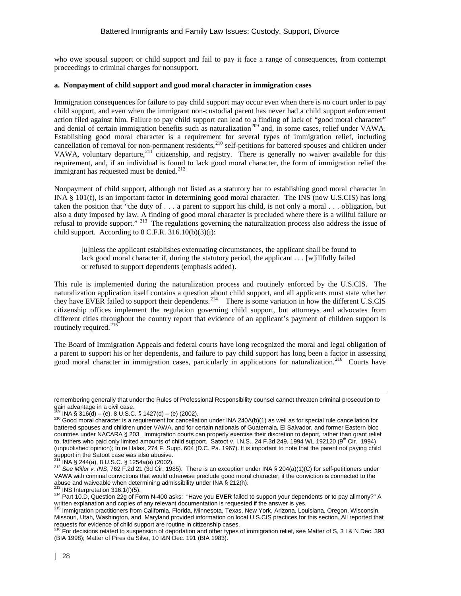who owe spousal support or child support and fail to pay it face a range of consequences, from contempt proceedings to criminal charges for nonsupport.

## **a. Nonpayment of child support and good moral character in immigration cases**

Immigration consequences for failure to pay child support may occur even when there is no court order to pay child support, and even when the immigrant non-custodial parent has never had a child support enforcement action filed against him. Failure to pay child support can lead to a finding of lack of "good moral character" and denial of certain immigration benefits such as naturalization<sup>[209](#page-27-0)</sup> and, in some cases, relief under VAWA. Establishing good moral character is a requirement for several types of immigration relief, including cancellation of removal for non-permanent residents,<sup>[210](#page-27-1)</sup> self-petitions for battered spouses and children under VAWA, voluntary departure,<sup>[211](#page-27-2)</sup> citizenship, and registry. There is generally no waiver available for this requirement, and, if an individual is found to lack good moral character, the form of immigration relief the immigrant has requested must be denied.<sup>[212](#page-27-3)</sup>

Nonpayment of child support, although not listed as a statutory bar to establishing good moral character in INA § 101(f), is an important factor in determining good moral character. The INS (now U.S.CIS) has long taken the position that "the duty of . . . a parent to support his child, is not only a moral . . . obligation, but also a duty imposed by law. A finding of good moral character is precluded where there is a willful failure or refusal to provide support." <sup>213</sup> The regulations governing the naturalization process also address the issue of child support. According to 8 C.F.R.  $316.10(b)(3)(i)$ :

[u]nless the applicant establishes extenuating circumstances, the applicant shall be found to lack good moral character if, during the statutory period, the applicant  $\ldots$  [w]illfully failed or refused to support dependents (emphasis added).

This rule is implemented during the naturalization process and routinely enforced by the U.S.CIS. The naturalization application itself contains a question about child support, and all applicants must state whether they have EVER failed to support their dependents.<sup>[214](#page-27-5)</sup> There is some variation in how the different U.S.CIS citizenship offices implement the regulation governing child support, but attorneys and advocates from different cities throughout the country report that evidence of an applicant's payment of children support is routinely required.<sup>215</sup>

The Board of Immigration Appeals and federal courts have long recognized the moral and legal obligation of a parent to support his or her dependents, and failure to pay child support has long been a factor in assessing good moral character in immigration cases, particularly in applications for naturalization.<sup>216</sup> Courts have

 $\overline{a}$ 

remembering generally that under the Rules of Professional Responsibility counsel cannot threaten criminal prosecution to gain advantage in a civil case.<br> $\frac{1}{209}$  INA § 316(d) – (e), 8 U.S.C. § 1427(d) – (e) (2002).

<span id="page-27-1"></span><span id="page-27-0"></span> $2^{10}$  Good moral character is a requirement for cancellation under INA 240A(b)(1) as well as for special rule cancellation for battered spouses and children under VAWA, and for certain nationals of Guatemala, El Salvador, and former Eastern bloc countries under NACARA § 203. Immigration courts can properly exercise their discretion to deport, rather than grant relief to, fathers who paid only limited amounts of child support. Satoot v. I.N.S., 24 F.3d 249, 1994 WL 192120 (9<sup>th</sup> Cir. 1994) (unpublished opinion); In re Halas, 274 F. Supp. 604 (D.C. Pa. 1967). It is important to note that the parent not paying child support in the Satoot case was also abusive.

<span id="page-27-3"></span><span id="page-27-2"></span><sup>&</sup>lt;sup>211</sup> INA § 244(a), 8 U.S.C. § 1254a(a) (2002).<br><sup>212</sup> See *Miller v. INS*, 762 F.2d 21 (3d Cir. 1985). There is an exception under INA § 204(a)(1)(C) for self-petitioners under VAWA with criminal convictions that would otherwise preclude good moral character, if the conviction is connected to the abuse and waiveable when determining admissibility under INA § 212(h).<br><sup>213</sup> INS Interpretation 316.1(f)(5).

<span id="page-27-5"></span><span id="page-27-4"></span><sup>213</sup> INS Interpretation 316.1(f)(5). 214 Part 10.D, Question 22g of Form N-400 asks: "Have you **EVER** failed to support your dependents or to pay alimony?" A written explanation and copies of any relevant documentation is requested if the answer is yes.<br><sup>215</sup> Immigration practitioners from California, Florida, Minnesota, Texas, New York, Arizona, Louisiana, Oregon, Wisconsin,

<span id="page-27-6"></span>Missouri, Utah, Washington, and Maryland provided information on local U.S.CIS practices for this section. All reported that requests for evidence of child support are routine in citizenship cases.<br><sup>216</sup> For decisions related to suspension of deportation and other types of immigration relief, see Matter of S, 3 I & N Dec. 393

<span id="page-27-7"></span><sup>(</sup>BIA 1998); Matter of Pires da Silva, 10 I&N Dec. 191 (BIA 1983).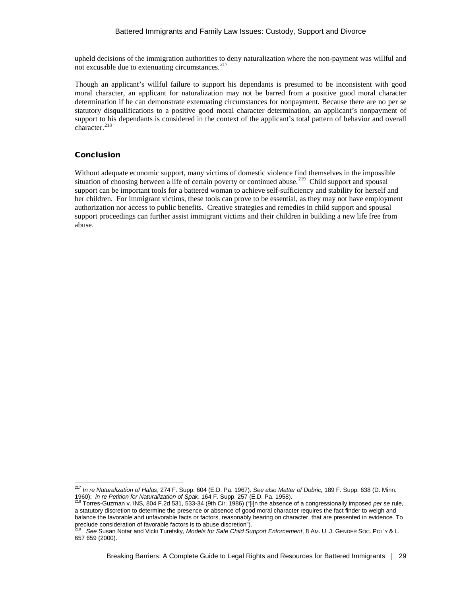upheld decisions of the immigration authorities to deny naturalization where the non-payment was willful and not excusable due to extenuating circumstances.<sup>[217](#page-28-0)</sup>

Though an applicant's willful failure to support his dependants is presumed to be inconsistent with good moral character, an applicant for naturalization may not be barred from a positive good moral character determination if he can demonstrate extenuating circumstances for nonpayment. Because there are no per se statutory disqualifications to a positive good moral character determination, an applicant's nonpayment of support to his dependants is considered in the context of the applicant's total pattern of behavior and overall character.<sup>218</sup>

## Conclusion

Without adequate economic support, many victims of domestic violence find themselves in the impossible situation of choosing between a life of certain poverty or continued abuse.<sup>[219](#page-28-2)</sup> Child support and spousal support can be important tools for a battered woman to achieve self-sufficiency and stability for herself and her children. For immigrant victims, these tools can prove to be essential, as they may not have employment authorization nor access to public benefits. Creative strategies and remedies in child support and spousal support proceedings can further assist immigrant victims and their children in building a new life free from abuse.

<span id="page-28-0"></span><sup>217</sup> *In re Naturalization of Halas*, 274 F. Supp. 604 (E.D. Pa. 1967). *See also Matter of Dobric,* 189 F. Supp. 638 (D. Minn. 1960); *in re Petition for Naturalization of Spak*, 164 F. Supp. 257 (E.D. Pa. 1958).<br><sup>218</sup> Torres-Guzman v. INS, 804 F.2d 531, 533-34 (9th Cir. 1986) ("[i]n the absence of a congressionally imposed *per se* rule,

<span id="page-28-1"></span>a statutory discretion to determine the presence or absence of good moral character requires the fact finder to weigh and balance the favorable and unfavorable facts or factors, reasonably bearing on character, that are presented in evidence. To preclude consideration of favorable factors is to abuse discretion").

<span id="page-28-2"></span><sup>219</sup> *See* Susan Notar and Vicki Turetsky, *Models for Safe Child Support Enforcement*, 8 AM. U. J. GENDER SOC. POL'Y & L. 657 659 (2000).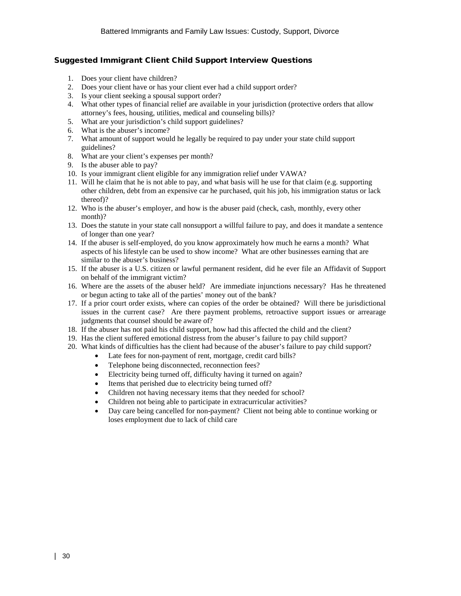# Suggested Immigrant Client Child Support Interview Questions

- 1. Does your client have children?
- 2. Does your client have or has your client ever had a child support order?
- 3. Is your client seeking a spousal support order?
- 4. What other types of financial relief are available in your jurisdiction (protective orders that allow attorney's fees, housing, utilities, medical and counseling bills)?
- 5. What are your jurisdiction's child support guidelines?
- 6. What is the abuser's income?
- 7. What amount of support would he legally be required to pay under your state child support guidelines?
- 8. What are your client's expenses per month?
- 9. Is the abuser able to pay?
- 10. Is your immigrant client eligible for any immigration relief under VAWA?
- 11. Will he claim that he is not able to pay, and what basis will he use for that claim (e.g. supporting other children, debt from an expensive car he purchased, quit his job, his immigration status or lack thereof)?
- 12. Who is the abuser's employer, and how is the abuser paid (check, cash, monthly, every other month)?
- 13. Does the statute in your state call nonsupport a willful failure to pay, and does it mandate a sentence of longer than one year?
- 14. If the abuser is self-employed, do you know approximately how much he earns a month? What aspects of his lifestyle can be used to show income? What are other businesses earning that are similar to the abuser's business?
- 15. If the abuser is a U.S. citizen or lawful permanent resident, did he ever file an Affidavit of Support on behalf of the immigrant victim?
- 16. Where are the assets of the abuser held? Are immediate injunctions necessary? Has he threatened or begun acting to take all of the parties' money out of the bank?
- 17. If a prior court order exists, where can copies of the order be obtained? Will there be jurisdictional issues in the current case? Are there payment problems, retroactive support issues or arrearage judgments that counsel should be aware of?
- 18. If the abuser has not paid his child support, how had this affected the child and the client?
- 19. Has the client suffered emotional distress from the abuser's failure to pay child support?
- 20. What kinds of difficulties has the client had because of the abuser's failure to pay child support?
	- Late fees for non-payment of rent, mortgage, credit card bills?
		- Telephone being disconnected, reconnection fees?
		- Electricity being turned off, difficulty having it turned on again?
		- Items that perished due to electricity being turned off?
		- Children not having necessary items that they needed for school?
		- Children not being able to participate in extracurricular activities?
		- Day care being cancelled for non-payment? Client not being able to continue working or loses employment due to lack of child care